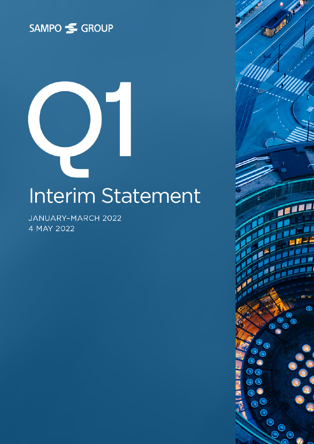



JANUARY-MARCH 2022 4 MAY 2022

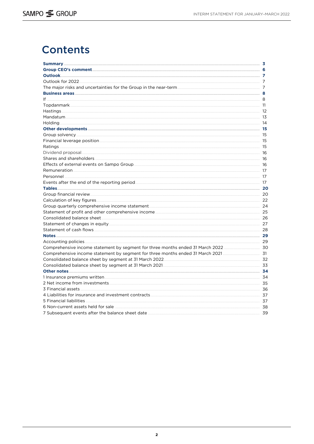# **Contents**

|                                                  | 8  |
|--------------------------------------------------|----|
|                                                  | 11 |
|                                                  | 12 |
|                                                  | 13 |
|                                                  |    |
|                                                  |    |
|                                                  |    |
|                                                  | 15 |
|                                                  |    |
|                                                  | 16 |
|                                                  | 16 |
|                                                  | 16 |
|                                                  |    |
|                                                  | 17 |
|                                                  |    |
|                                                  |    |
|                                                  |    |
|                                                  | 22 |
|                                                  | 24 |
|                                                  | 25 |
|                                                  | 26 |
|                                                  | 27 |
|                                                  |    |
|                                                  |    |
|                                                  |    |
|                                                  |    |
|                                                  |    |
|                                                  |    |
|                                                  |    |
|                                                  |    |
|                                                  |    |
|                                                  |    |
|                                                  | 36 |
|                                                  | 37 |
|                                                  |    |
|                                                  | 38 |
| 7 Subsequent events after the balance sheet date | 39 |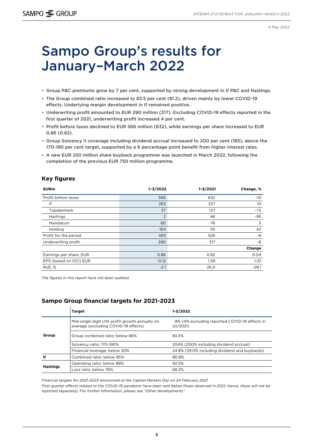4 May 2022

# <span id="page-2-0"></span>Sampo Group's results for January–March 2022

- Group P&C premiums grew by 7 per cent, supported by strong development in If P&C and Hastings.
- The Group combined ratio increased to 83.5 per cent (81.2), driven mainly by lower COVID-19 effects. Underlying margin development in If remained positive.
- Underwriting profit amounted to EUR 290 million (317). Excluding COVID-19 effects reported in the first quarter of 2021, underwriting profit increased 4 per cent.
- Profit before taxes declined to EUR 566 million (632), while earnings per share increased to EUR 0.86 (0.82).
- Group Solvency II coverage including dividend accrual increased to 200 per cent (185), above the 170-190 per cent target, supported by a 6 percentage point benefit from higher interest rates.
- A new EUR 250 million share buyback programme was launched in March 2022, following the completion of the previous EUR 750 million programme.

#### **Key figures**

| <b>EURm</b>             | $1 - 3/2022$   | $1 - 3/2021$ | Change, %       |
|-------------------------|----------------|--------------|-----------------|
| Profit before taxes     | 566            | 632          | $-10$           |
| lf                      | 283            | 257          | 10 <sup>°</sup> |
| Topdanmark              | 37             | 137          | $-73$           |
| Hastings                | $\overline{2}$ | 46           | $-95$           |
| Mandatum                | 80             | 76           | 5               |
| Holding                 | 164            | 115          | 42              |
| Profit for the period   | 483            | 526          | -8              |
| Underwriting profit     | 290            | 317          | -8              |
|                         |                |              | Change          |
| Earnings per share, EUR | 0.86           | 0.82         | 0.04            |
| EPS (based on OCI) EUR  | $-0.12$        | 1.39         | $-1.51$         |
| RoE, %                  | $-2.1$         | 26.0         | $-28.1$         |

*The figures in this report have not been audited.*

### **Sampo Group financial targets for 2021-2023**

|                 | <b>Target</b>                                                                         | $1 - 3/2022$                                              |  |  |
|-----------------|---------------------------------------------------------------------------------------|-----------------------------------------------------------|--|--|
|                 | Mid-single digit UW profit growth annually on<br>average (excluding COVID-19 effects) | -8% (4% excluding reported COVID-19 effects in<br>Q1/2021 |  |  |
| Group           | Group combined ratio: below 86%                                                       | 83.5%                                                     |  |  |
|                 | Solvency ratio: 170-190%                                                              | 204% (200% including dividend accrual)                    |  |  |
|                 | Financial leverage: below 30%                                                         | 24.8% (29.0% including dividend and buybacks)             |  |  |
| -If             | Combined ratio: below 85%                                                             | 80.8%                                                     |  |  |
|                 | Operating ratio: below 88%                                                            | 92.5%                                                     |  |  |
| <b>Hastings</b> | Loss ratio: below 76%                                                                 | 68.2%                                                     |  |  |

*Financial targets for 2021-2023 announced at the Capital Markets Day on 24 February 2021*

*First quarter effects related to the COVID-19 pandemic have been well below those observed in 2021; hence, these will not be reported separately. For further information, please see "Other developments"*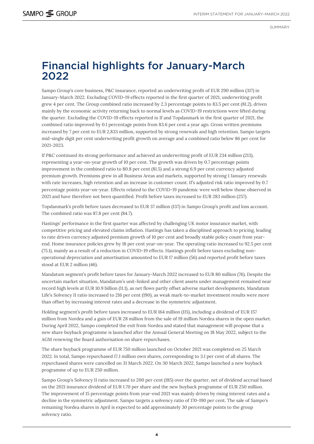SUMMARY

# Financial highlights for January-March 2022

Sampo Group's core business, P&C insurance, reported an underwriting profit of EUR 290 million (317) in January-March 2022. Excluding COVID-19 effects reported in the first quarter of 2021, underwriting profit grew 4 per cent. The Group combined ratio increased by 2.3 percentage points to 83.5 per cent (81.2), driven mainly by the economic activity returning back to normal levels as COVID-19 restrictions were lifted during the quarter. Excluding the COVID-19 effects reported in If and Topdanmark in the first quarter of 2021, the combined ratio improved by 0.1 percentage points from 83.6 per cent a year ago. Gross written premiums increased by 7 per cent to EUR 2,833 million, supported by strong renewals and high retention. Sampo targets mid-single digit per cent underwriting profit growth on average and a combined ratio below 86 per cent for 2021-2023.

If P&C continued its strong performance and achieved an underwriting profit of EUR 234 million (213), representing a year-on-year growth of 10 per cent. The growth was driven by 0.7 percentage points improvement in the combined ratio to 80.8 per cent (81.5) and a strong 6.9 per cent currency adjusted premium growth. Premiums grew in all Business Areas and markets, supported by strong 1 January renewals with rate increases, high retention and an increase in customer count. If's adjusted risk ratio improved by 0.7 percentage points year-on-year. Effects related to the COVID-19 pandemic were well below those observed in 2021 and have therefore not been quantified. Profit before taxes increased to EUR 283 million (257).

Topdanmark's profit before taxes decreased to EUR 37 million (137) in Sampo Group's profit and loss account. The combined ratio was 87.8 per cent (84.7).

Hastings' performance in the first quarter was affected by challenging UK motor insurance market, with competitive pricing and elevated claims inflation. Hastings has taken a disciplined approach to pricing, leading to rate driven currency adjusted premium growth of 10 per cent and broadly stable policy count from yearend. Home insurance policies grew by 18 per cent year-on-year. The operating ratio increased to 92.5 per cent (75.1), mainly as a result of a reduction in COVID-19 effects. Hastings profit before taxes excluding nonoperational depreciation and amortisation amounted to EUR 17 million (56) and reported profit before taxes stood at EUR 2 million (46).

Mandatum segment's profit before taxes for January-March 2022 increased to EUR 80 million (76). Despite the uncertain market situation, Mandatum's unit-linked and other client assets under management remained near record high levels at EUR 10.9 billion (11.1), as net flows partly offset adverse market developments. Mandatum Life's Solvency II ratio increased to 216 per cent (190), as weak mark-to-market investment results were more than offset by increasing interest rates and a decrease in the symmetric adjustment.

Holding segment's profit before taxes increased to EUR 164 million (115), including a dividend of EUR 157 million from Nordea and a gain of EUR 28 million from the sale of 19 million Nordea shares in the open market. During April 2022, Sampo completed the exit from Nordea and stated that management will propose that a new share buyback programme is launched after the Annual General Meeting on 18 May 2022, subject to the AGM renewing the Board authorisation on share repurchases.

The share buyback programme of EUR 750 million launched on October 2021 was completed on 25 March 2022. In total, Sampo repurchased 17.1 million own shares, corresponding to 3.1 per cent of all shares. The repurchased shares were cancelled on 31 March 2022. On 30 March 2022, Sampo launched a new buyback programme of up to EUR 250 million.

Sampo Group's Solvency II ratio increased to 200 per cent (185) over the quarter, net of dividend accrual based on the 2021 insurance dividend of EUR 1.70 per share and the new buyback programme of EUR 250 million. The improvement of 15 percentage points from year-end 2021 was mainly driven by rising interest rates and a decline in the symmetric adjustment. Sampo targets a solvency ratio of 170-190 per cent. The sale of Sampo's remaining Nordea shares in April is expected to add approximately 30 percentage points to the group solvency ratio.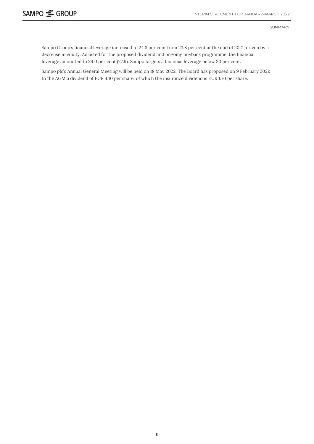SUMMARY

Sampo Group's financial leverage increased to 24.8 per cent from 23.8 per cent at the end of 2021, driven by a decrease in equity. Adjusted for the proposed dividend and ongoing buyback programme, the financial leverage amounted to 29.0 per cent (27.9). Sampo targets a financial leverage below 30 per cent.

Sampo plc's Annual General Meeting will be held on 18 May 2022. The Board has proposed on 9 February 2022 to the AGM a dividend of EUR 4.10 per share, of which the insurance dividend is EUR 1.70 per share.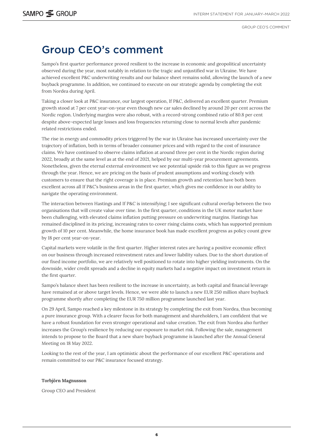GROUP CEO'S COMMENT

# <span id="page-5-0"></span>Group CEO's comment

Sampo's first quarter performance proved resilient to the increase in economic and geopolitical uncertainty observed during the year, most notably in relation to the tragic and unjustified war in Ukraine. We have achieved excellent P&C underwriting results and our balance sheet remains solid, allowing the launch of a new buyback programme. In addition, we continued to execute on our strategic agenda by completing the exit from Nordea during April.

Taking a closer look at P&C insurance, our largest operation, If P&C, delivered an excellent quarter. Premium growth stood at 7 per cent year-on-year even though new car sales declined by around 20 per cent across the Nordic region. Underlying margins were also robust, with a record-strong combined ratio of 80.8 per cent despite above-expected large losses and loss frequencies returning close to normal levels after pandemic related restrictions ended.

The rise in energy and commodity prices triggered by the war in Ukraine has increased uncertainty over the trajectory of inflation, both in terms of broader consumer prices and with regard to the cost of insurance claims. We have continued to observe claims inflation at around three per cent in the Nordic region during 2022, broadly at the same level as at the end of 2021, helped by our multi-year procurement agreements. Nonetheless, given the eternal external environment we see potential upside risk to this figure as we progress through the year. Hence, we are pricing on the basis of prudent assumptions and working closely with customers to ensure that the right coverage is in place. Premium growth and retention have both been excellent across all If P&C's business areas in the first quarter, which gives me confidence in our ability to navigate the operating environment.

The interaction between Hastings and If P&C is intensifying; I see significant cultural overlap between the two organisations that will create value over time. In the first quarter, conditions in the UK motor market have been challenging, with elevated claims inflation putting pressure on underwriting margins. Hastings has remained disciplined in its pricing, increasing rates to cover rising claims costs, which has supported premium growth of 10 per cent. Meanwhile, the home insurance book has made excellent progress as policy count grew by 18 per cent year-on-year.

Capital markets were volatile in the first quarter. Higher interest rates are having a positive economic effect on our business through increased reinvestment rates and lower liability values. Due to the short duration of our fixed income portfolio, we are relatively well positioned to rotate into higher yielding instruments. On the downside, wider credit spreads and a decline in equity markets had a negative impact on investment return in the first quarter.

Sampo's balance sheet has been resilient to the increase in uncertainty, as both capital and financial leverage have remained at or above target levels. Hence, we were able to launch a new EUR 250 million share buyback programme shortly after completing the EUR 750 million programme launched last year.

On 29 April, Sampo reached a key milestone in its strategy by completing the exit from Nordea, thus becoming a pure insurance group. With a clearer focus for both management and shareholders, I am confident that we have a robust foundation for even stronger operational and value creation. The exit from Nordea also further increases the Group's resilience by reducing our exposure to market risk. Following the sale, management intends to propose to the Board that a new share buyback programme is launched after the Annual General Meeting on 18 May 2022.

Looking to the rest of the year, I am optimistic about the performance of our excellent P&C operations and remain committed to our P&C insurance focused strategy.

#### **Torbjörn Magnusson**

Group CEO and President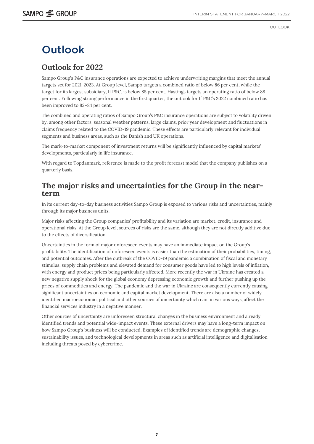OUTLOOK

# <span id="page-6-0"></span>Outlook

### **Outlook for 2022**

Sampo Group's P&C insurance operations are expected to achieve underwriting margins that meet the annual targets set for 2021-2023. At Group level, Sampo targets a combined ratio of below 86 per cent, while the target for its largest subsidiary, If P&C, is below 85 per cent. Hastings targets an operating ratio of below 88 per cent. Following strong performance in the first quarter, the outlook for If P&C's 2022 combined ratio has been improved to 82–84 per cent.

The combined and operating ratios of Sampo Group's P&C insurance operations are subject to volatility driven by, among other factors, seasonal weather patterns, large claims, prior year development and fluctuations in claims frequency related to the COVID-19 pandemic. These effects are particularly relevant for individual segments and business areas, such as the Danish and UK operations.

The mark-to-market component of investment returns will be significantly influenced by capital markets' developments, particularly in life insurance.

With regard to Topdanmark, reference is made to the profit forecast model that the company publishes on a quarterly basis.

### **The major risks and uncertainties for the Group in the nearterm**

In its current day-to-day business activities Sampo Group is exposed to various risks and uncertainties, mainly through its major business units.

Major risks affecting the Group companies' profitability and its variation are market, credit, insurance and operational risks. At the Group level, sources of risks are the same, although they are not directly additive due to the effects of diversification.

Uncertainties in the form of major unforeseen events may have an immediate impact on the Group's profitability. The identification of unforeseen events is easier than the estimation of their probabilities, timing, and potential outcomes. After the outbreak of the COVID-19 pandemic a combination of fiscal and monetary stimulus, supply chain problems and elevated demand for consumer goods have led to high levels of inflation, with energy and product prices being particularly affected. More recently the war in Ukraine has created a new negative supply shock for the global economy depressing economic growth and further pushing up the prices of commodities and energy. The pandemic and the war in Ukraine are consequently currently causing significant uncertainties on economic and capital market development. There are also a number of widely identified macroeconomic, political and other sources of uncertainty which can, in various ways, affect the financial services industry in a negative manner.

Other sources of uncertainty are unforeseen structural changes in the business environment and already identified trends and potential wide-impact events. These external drivers may have a long-term impact on how Sampo Group's business will be conducted. Examples of identified trends are demographic changes, sustainability issues, and technological developments in areas such as artificial intelligence and digitalisation including threats posed by cybercrime.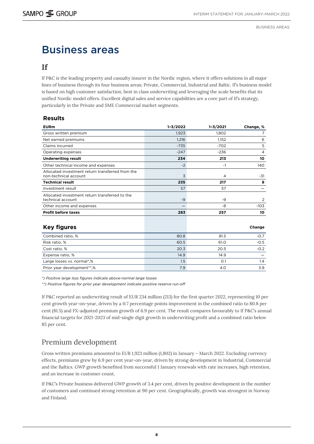# <span id="page-7-0"></span>Business areas

### **If**

If P&C is the leading property and casualty insurer in the Nordic region, where it offers solutions in all major lines of business through its four business areas; Private, Commercial, Industrial and Baltic. If's business model is based on high customer satisfaction, best in class underwriting and leveraging the scale benefits that its unified Nordic model offers. Excellent digital sales and service capabilities are a core part of If's strategy, particularly in the Private and SME Commercial market segments.

#### **Results**

| <b>EURm</b>                                                               | $1 - 3/2022$ | $1 - 3/2021$   | Change, %      |
|---------------------------------------------------------------------------|--------------|----------------|----------------|
| Gross written premium                                                     | 1,923        | 1,802          | 7              |
| Net earned premiums                                                       | 1,216        | 1,152          | 6              |
| Claims incurred                                                           | $-735$       | $-702$         | 5              |
| Operating expenses                                                        | $-247$       | $-236$         | $\overline{4}$ |
| <b>Underwriting result</b>                                                | 234          | 213            | 10             |
| Other technical income and expenses                                       | $-2$         | $-1$           | 140            |
| Allocated investment return transferred from the<br>non-technical account | 3            | $\overline{4}$ | $-31$          |
| <b>Technical result</b>                                                   | 235          | 217            | 8              |
| Investment result                                                         | 57           | 57             |                |
| Allocated investment return transferred to the<br>technical account       | $-9$         | -9             | 2              |
| Other income and expenses                                                 |              | -8             | $-103$         |
| <b>Profit before taxes</b>                                                | 283          | 257            | 10             |
| <b>Key figures</b>                                                        |              |                | Change         |
| Combined ratio, %                                                         | 80.8         | 81.5           | $-0.7$         |
| Risk ratio, %                                                             | 60.5         | 61.0           | $-0.5$         |
| Cost ratio, %                                                             | 20.3         | 20.5           | $-0.2$         |
| Expense ratio, %                                                          | 14.9         | 14.9           |                |
| Large losses vs. normal*,%                                                | 1.5          | O.1            | 1.4            |
| Prior year development**,%                                                | 7.9          | 4.0            | 3.9            |

*\*) Positive large loss figures indicate above-normal large losses*

*\*\*) Positive figures for prior year development indicate positive reserve run-off*

If P&C reported an underwriting result of EUR 234 million (213) for the first quarter 2022, representing 10 per cent growth year-on-year, driven by a 0.7 percentage points improvement in the combined ratio to 80.8 per cent (81.5) and FX-adjusted premium growth of 6.9 per cent. The result compares favourably to If P&C's annual financial targets for 2021-2023 of mid-single digit growth in underwriting profit and a combined ratio below 85 per cent.

## Premium development

Gross written premiums amounted to EUR 1,923 million (1,802) in January – March 2022. Excluding currency effects, premiums grew by 6.9 per cent year-on-year, driven by strong development in Industrial, Commercial and the Baltics. GWP growth benefited from successful 1 January renewals with rate increases, high retention, and an increase in customer count.

If P&C's Private business delivered GWP growth of 3.4 per cent, driven by positive development in the number of customers and continued strong retention at 90 per cent. Geographically, growth was strongest in Norway and Finland.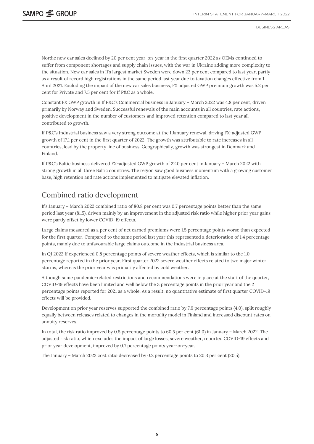Nordic new car sales declined by 20 per cent year-on-year in the first quarter 2022 as OEMs continued to suffer from component shortages and supply chain issues, with the war in Ukraine adding more complexity to the situation. New car sales in If's largest market Sweden were down 23 per cent compared to last year, partly as a result of record high registrations in the same period last year due to taxation changes effective from 1 April 2021. Excluding the impact of the new car sales business, FX adjusted GWP premium growth was 5.2 per cent for Private and 7.5 per cent for If P&C as a whole.

Constant FX GWP growth in If P&C's Commercial business in January – March 2022 was 4.8 per cent, driven primarily by Norway and Sweden. Successful renewals of the main accounts in all countries, rate actions, positive development in the number of customers and improved retention compared to last year all contributed to growth.

If P&C's Industrial business saw a very strong outcome at the 1 January renewal, driving FX-adjusted GWP growth of 17.1 per cent in the first quarter of 2022. The growth was attributable to rate increases in all countries, lead by the property line of business. Geographically, growth was strongest in Denmark and Finland.

If P&C's Baltic business delivered FX-adjusted GWP growth of 22.0 per cent in January – March 2022 with strong growth in all three Baltic countries. The region saw good business momentum with a growing customer base, high retention and rate actions implemented to mitigate elevated inflation.

## Combined ratio development

If's January – March 2022 combined ratio of 80.8 per cent was 0.7 percentage points better than the same period last year (81.5), driven mainly by an improvement in the adjusted risk ratio while higher prior year gains were partly offset by lower COVID-19 effects.

Large claims measured as a per cent of net earned premiums were 1.5 percentage points worse than expected for the first quarter. Compared to the same period last year this represented a deterioration of 1.4 percentage points, mainly due to unfavourable large claims outcome in the Industrial business area.

In Q1 2022 If experienced 0.8 percentage points of severe weather effects, which is similar to the 1.0 percentage reported in the prior year. First quarter 2022 severe weather effects related to two major winter storms, whereas the prior year was primarily affected by cold weather.

Although some pandemic-related restrictions and recommendations were in place at the start of the quarter, COVID-19 effects have been limited and well below the 3 percentage points in the prior year and the 2 percentage points reported for 2021 as a whole. As a result, no quantitative estimate of first quarter COVID-19 effects will be provided.

Development on prior year reserves supported the combined ratio by 7.9 percentage points (4.0), split roughly equally between releases related to changes in the mortality model in Finland and increased discount rates on annuity reserves.

In total, the risk ratio improved by 0.5 percentage points to 60.5 per cent (61.0) in January – March 2022. The adjusted risk ratio, which excludes the impact of large losses, severe weather, reported COVID-19 effects and prior year development, improved by 0.7 percentage points year-on-year.

The January – March 2022 cost ratio decreased by 0.2 percentage points to 20.3 per cent (20.5).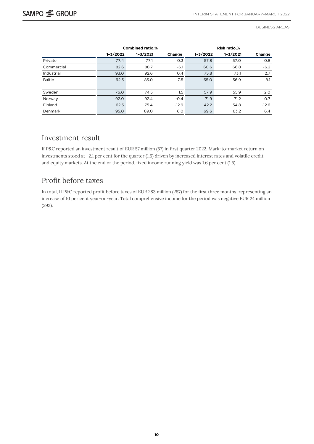|               | <b>Combined ratio,%</b> |              |         |              | <b>Risk ratio,%</b> |         |
|---------------|-------------------------|--------------|---------|--------------|---------------------|---------|
|               | $1 - 3/2022$            | $1 - 3/2021$ | Change  | $1 - 3/2022$ | $1 - 3/2021$        | Change  |
| Private       | 77.4                    | 77.1         | 0.3     | 57.8         | 57.0                | O.8     |
| Commercial    | 82.6                    | 88.7         | $-6.1$  | 60.6         | 66.8                | $-6.2$  |
| Industrial    | 93.0                    | 92.6         | 0.4     | 75.8         | 73.1                | 2.7     |
| <b>Baltic</b> | 92.5                    | 85.0         | 7.5     | 65.0         | 56.9                | 8.1     |
|               |                         |              |         |              |                     |         |
| Sweden        | 76.0                    | 74.5         | 1.5     | 57.9         | 55.9                | 2.0     |
| Norway        | 92.0                    | 92.4         | $-0.4$  | 71.9         | 71.2                | 0.7     |
| Finland       | 62.5                    | 75.4         | $-12.9$ | 42.2         | 54.8                | $-12.6$ |
| Denmark       | 95.0                    | 89.0         | 6.0     | 69.6         | 63.2                | 6.4     |

### Investment result

If P&C reported an investment result of EUR 57 million (57) in first quarter 2022. Mark-to-market return on investments stood at -2.1 per cent for the quarter (1.5) driven by increased interest rates and volatile credit and equity markets. At the end or the period, fixed income running yield was 1.6 per cent (1.5).

### Profit before taxes

In total, If P&C reported profit before taxes of EUR 283 million (257) for the first three months, representing an increase of 10 per cent year-on-year. Total comprehensive income for the period was negative EUR 24 million (292).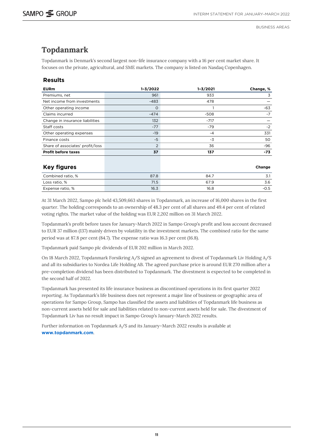### <span id="page-10-0"></span>**Topdanmark**

Topdanmark is Denmark's second largest non-life insurance company with a 16 per cent market share. It focuses on the private, agricultural, and SME markets. The company is listed on Nasdaq Copenhagen.

#### **Results**

| <b>EURm</b>                      | $1 - 3/2022$   | $1 - 3/2021$ | Change, % |
|----------------------------------|----------------|--------------|-----------|
| Premiums, net                    | 961            | 933          | 3         |
| Net income from investments      | $-483$         | 478          |           |
| Other operating income           | $\circ$        |              | -63       |
| Claims incurred                  | $-474$         | $-508$       | $-7$      |
| Change in insurance liabilities  | 132            | $-717$       |           |
| Staff costs                      | $-77$          | $-79$        | $-2$      |
| Other operating expenses         | $-19$          | $-4$         | 331       |
| Finance costs                    | $-5$           | -3           | 50        |
| Share of associates' profit/loss | $\overline{2}$ | 36           | -96       |
| <b>Profit before taxes</b>       | 37             | 137          | -73       |
|                                  |                |              |           |
| <b>Key figures</b>               |                |              | Change    |
| Combined ratio, %                | 87.8           | 84.7         | 3.1       |
| Loss ratio, %                    | 71.5           | 67.9         | 3.6       |
| Expense ratio, %                 | 16.3           | 16.8         | $-0.5$    |

At 31 March 2022, Sampo plc held 43,509,663 shares in Topdanmark, an increase of 16,000 shares in the first quarter. The holding corresponds to an ownership of 48.3 per cent of all shares and 49.4 per cent of related voting rights. The market value of the holding was EUR 2,202 million on 31 March 2022.

Topdanmark's profit before taxes for January-March 2022 in Sampo Group's profit and loss account decreased to EUR 37 million (137) mainly driven by volatility in the investment markets. The combined ratio for the same period was at 87.8 per cent (84.7). The expense ratio was 16.3 per cent (16.8).

Topdanmark paid Sampo plc dividends of EUR 202 million in March 2022.

On 18 March 2022, Topdanmark Forsikring A/S signed an agreement to divest of Topdanmark Liv Holding A/S and all its subsidiaries to Nordea Life Holding AB. The agreed purchase price is around EUR 270 million after a pre-completion dividend has been distributed to Topdanmark. The divestment is expected to be completed in the second half of 2022.

Topdanmark has presented its life insurance business as discontinued operations in its first quarter 2022 reporting. As Topdanmark's life business does not represent a major line of business or geographic area of operations for Sampo Group, Sampo has classified the assets and liabilities of Topdanmark life business as non-current assets held for sale and liabilities related to non-current assets held for sale. The divestment of Topdanmark Liv has no result impact in Sampo Group's January-March 2022 results.

Further information on Topdanmark A/S and its January–March 2022 results is available at **www.topdanmark.com**.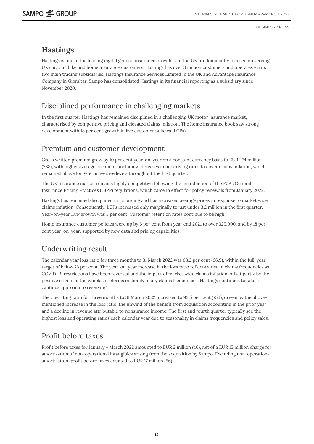### <span id="page-11-0"></span>**Hastings**

Hastings is one of the leading digital general insurance providers in the UK predominantly focused on serving UK car, van, bike and home insurance customers. Hastings has over 3 million customers and operates via its two main trading subsidiaries, Hastings Insurance Services Limited in the UK and Advantage Insurance Company in Gibraltar. Sampo has consolidated Hastings in its financial reporting as a subsidiary since November 2020.

## Disciplined performance in challenging markets

In the first quarter Hastings has remained disciplined in a challenging UK motor insurance market, characterised by competitive pricing and elevated claims inflation. The home insurance book saw strong development with 18 per cent growth in live customer policies (LCPs).

### Premium and customer development

Gross written premium grew by 10 per cent year-on-year on a constant currency basis to EUR 274 million (238), with higher average premiums including increases in underlying rates to cover claims inflation, which remained above long-term average levels throughout the first quarter.

The UK insurance market remains highly competitive following the introduction of the FCAs General Insurance Pricing Practices (GIPP) regulations, which came in effect for policy renewals from January 2022.

Hastings has remained disciplined in its pricing and has increased average prices in response to market wide claims inflation. Consequently, LCPs increased only marginally to just under 3.2 million in the first quarter. Year-on-year LCP growth was 3 per cent. Customer retention rates continue to be high.

Home insurance customer policies were up by 6 per cent from year end 2021 to over 329,000, and by 18 per cent year-on-year, supported by new data and pricing capabilities.

## Underwriting result

The calendar year loss ratio for three months to 31 March 2022 was 68.2 per cent (66.9), within the full-year target of below 76 per cent. The year-on-year increase in the loss ratio reflects a rise in claims frequencies as COVID-19 restrictions have been reversed and the impact of market wide claims inflation, offset partly by the positive effects of the whiplash reforms on bodily injury claims frequencies. Hastings continues to take a cautious approach to reserving.

The operating ratio for three months to 31 March 2022 increased to 92.5 per cent (75.1), driven by the abovementioned increase in the loss ratio, the unwind of the benefit from acquisition accounting in the prior year and a decline in revenue attributable to reinsurance income. The first and fourth quarter typically see the highest loss and operating ratios each calendar year due to seasonality in claims frequencies and policy sales.

### Profit before taxes

Profit before taxes for January - March 2022 amounted to EUR 2 million (46), net of a EUR 15 million charge for amortisation of non-operational intangibles arising from the acquisition by Sampo. Excluding non-operational amortisation, profit before taxes equated to EUR 17 million (56).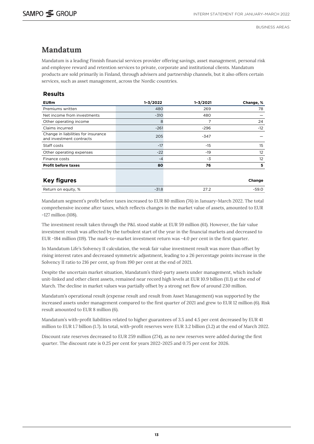### <span id="page-12-0"></span>**Mandatum**

Mandatum is a leading Finnish financial services provider offering savings, asset management, personal risk and employee reward and retention services to private, corporate and institutional clients. Mandatum products are sold primarily in Finland, through advisers and partnership channels, but it also offers certain services, such as asset management, across the Nordic countries.

#### **Results**

| <b>EURm</b>                                                     | $1 - 3/2022$ | $1 - 3/2021$ | Change, % |
|-----------------------------------------------------------------|--------------|--------------|-----------|
| Premiums written                                                | 480          | 269          | 78        |
| Net income from investments                                     | $-310$       | 480          |           |
| Other operating income                                          | 8            | 7            | 24        |
| Claims incurred                                                 | $-261$       | $-296$       | $-12$     |
| Change in liabilities for insurance<br>and investment contracts | 205          | -347         |           |
| Staff costs                                                     | $-17$        | $-15$        | 15        |
| Other operating expenses                                        | $-22$        | $-19$        | 12        |
| Finance costs                                                   | $-4$         | $-3$         | 12        |
| <b>Profit before taxes</b>                                      | 80           | 76           | 5         |
| <b>Key figures</b>                                              |              |              | Change    |
| Return on equity, %                                             | $-31.8$      | 27.2         | $-59.0$   |

Mandatum segment's profit before taxes increased to EUR 80 million (76) in January-March 2022. The total comprehensive income after taxes, which reflects changes in the market value of assets, amounted to EUR -127 million (108).

The investment result taken through the P&L stood stable at EUR 59 million (61). However, the fair value investment result was affected by the turbulent start of the year in the financial markets and decreased to EUR -184 million (119). The mark-to-market investment return was -4.0 per cent in the first quarter.

In Mandatum Life's Solvency II calculation, the weak fair value investment result was more than offset by rising interest rates and decreased symmetric adjustment, leading to a 26 percentage points increase in the Solvency II ratio to 216 per cent, up from 190 per cent at the end of 2021.

Despite the uncertain market situation, Mandatum's third-party assets under management, which include unit-linked and other client assets, remained near record high levels at EUR 10.9 billion (11.1) at the end of March. The decline in market values was partially offset by a strong net flow of around 230 million.

Mandatum's operational result (expense result and result from Asset Management) was supported by the increased assets under management compared to the first quarter of 2021 and grew to EUR 12 million (6). Risk result amounted to EUR 8 million (6).

Mandatum's with-profit liabilities related to higher guarantees of 3.5 and 4.5 per cent decreased by EUR 41 million to EUR 1.7 billion (1.7). In total, with-profit reserves were EUR 3.2 billion (3.2) at the end of March 2022.

Discount rate reserves decreased to EUR 259 million (274), as no new reserves were added during the first quarter. The discount rate is 0.25 per cent for years 2022-2025 and 0.75 per cent for 2026.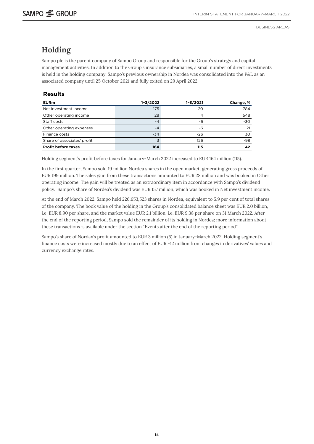## <span id="page-13-0"></span>**Holding**

Sampo plc is the parent company of Sampo Group and responsible for the Group's strategy and capital management activities. In addition to the Group's insurance subsidiaries, a small number of direct investments is held in the holding company. Sampo's previous ownership in Nordea was consolidated into the P&L as an associated company until 25 October 2021 and fully exited on 29 April 2022.

#### **Results**

| <b>EURm</b>                 | $1 - 3/2022$ | $1 - 3/2021$ | Change, % |
|-----------------------------|--------------|--------------|-----------|
| Net investment income       | 175          | 20           | 784       |
| Other operating income      | 28           |              | 548       |
| Staff costs                 | -4           | -6           | -30       |
| Other operating expenses    | -4           | -3           | 21        |
| Finance costs               | $-34$        | $-26$        | 30        |
| Share of associates' profit |              | 126          | -98       |
| <b>Profit before taxes</b>  | 164          | 115          | 42        |

Holding segment's profit before taxes for January-March 2022 increased to EUR 164 million (115).

In the first quarter, Sampo sold 19 million Nordea shares in the open market, generating gross proceeds of EUR 199 million. The sales gain from these transactions amounted to EUR 28 million and was booked in Other operating income. The gain will be treated as an extraordinary item in accordance with Sampo's dividend policy. Sampo's share of Nordea's dividend was EUR 157 million, which was booked in Net investment income.

At the end of March 2022, Sampo held 226,653,523 shares in Nordea, equivalent to 5.9 per cent of total shares of the company. The book value of the holding in the Group's consolidated balance sheet was EUR 2.0 billion, i.e. EUR 8.90 per share, and the market value EUR 2.1 billion, i.e. EUR 9.38 per share on 31 March 2022. After the end of the reporting period, Sampo sold the remainder of its holding in Nordea; more information about these transactions is available under the section "Events after the end of the reporting period".

Sampo's share of Nordax's profit amounted to EUR 3 million (5) in January-March 2022. Holding segment's finance costs were increased mostly due to an effect of EUR -12 million from changes in derivatives' values and currency exchange rates.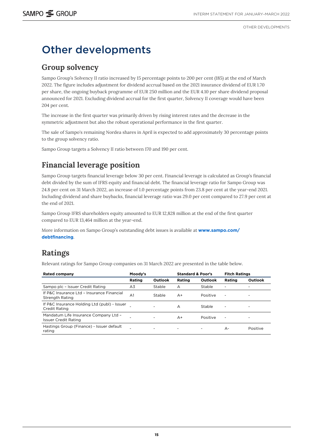# <span id="page-14-0"></span>Other developments

## **Group solvency**

Sampo Group's Solvency II ratio increased by 15 percentage points to 200 per cent (185) at the end of March 2022. The figure includes adjustment for dividend accrual based on the 2021 insurance dividend of EUR 1.70 per share, the ongoing buyback programme of EUR 250 million and the EUR 4.10 per share dividend proposal announced for 2021. Excluding dividend accrual for the first quarter, Solvency II coverage would have been 204 per cent.

The increase in the first quarter was primarily driven by rising interest rates and the decrease in the symmetric adjustment but also the robust operational performance in the first quarter.

The sale of Sampo's remaining Nordea shares in April is expected to add approximately 30 percentage points to the group solvency ratio.

Sampo Group targets a Solvency II ratio between 170 and 190 per cent.

## **Financial leverage position**

Sampo Group targets financial leverage below 30 per cent. Financial leverage is calculated as Group's financial debt divided by the sum of IFRS equity and financial debt. The financial leverage ratio for Sampo Group was 24.8 per cent on 31 March 2022, an increase of 1.0 percentage points from 23.8 per cent at the year-end 2021. Including dividend and share buybacks, financial leverage ratio was 29.0 per cent compared to 27.9 per cent at the end of 2021.

Sampo Group IFRS shareholders equity amounted to EUR 12,828 million at the end of the first quarter compared to EUR 13,464 million at the year-end.

More information on Sampo Group's outstanding debt issues is available at **[www.sampo.com/](http://www.sampo.com/debtfinancing) [debtfinancing](http://www.sampo.com/debtfinancing)**.

## **Ratings**

Relevant ratings for Sampo Group companies on 31 March 2022 are presented in the table below.

| <b>Rated company</b>                                                 | Moody's        |         | <b>Standard &amp; Poor's</b> |          | <b>Fitch Ratings</b> |          |
|----------------------------------------------------------------------|----------------|---------|------------------------------|----------|----------------------|----------|
|                                                                      | Rating         | Outlook | Rating                       | Outlook  | Rating               | Outlook  |
| Sampo plc - Issuer Credit Rating                                     | A3             | Stable  | А                            | Stable   | -                    |          |
| If P&C Insurance Ltd - Insurance Financial<br><b>Strength Rating</b> | A <sub>1</sub> | Stable  | A+                           | Positive | ۰                    |          |
| If P&C Insurance Holding Ltd (publ) - Issuer<br>Credit Rating        |                |         | A                            | Stable   | ۰                    |          |
| Mandatum Life Insurance Company Ltd -<br>Issuer Credit Rating        |                |         | A+                           | Positive | ۰                    |          |
| Hastings Group (Finance) - Issuer default<br>rating                  |                | ۰       | ٠                            | ۰        | А-                   | Positive |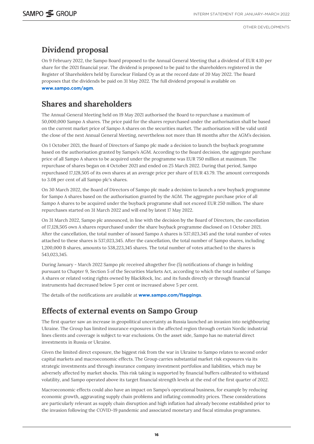## <span id="page-15-0"></span>**Dividend proposal**

On 9 February 2022, the Sampo Board proposed to the Annual General Meeting that a dividend of EUR 4.10 per share for the 2021 financial year. The dividend is proposed to be paid to the shareholders registered in the Register of Shareholders held by Euroclear Finland Oy as at the record date of 20 May 2022. The Board proposes that the dividends be paid on 31 May 2022. The full dividend proposal is available on **[www.sampo.com/agm](https://www.sampo.com/agm)**.

## **Shares and shareholders**

The Annual General Meeting held on 19 May 2021 authorised the Board to repurchase a maximum of 50,000,000 Sampo A shares. The price paid for the shares repurchased under the authorisation shall be based on the current market price of Sampo A shares on the securities market. The authorisation will be valid until the close of the next Annual General Meeting, nevertheless not more than 18 months after the AGM's decision.

On 1 October 2021, the Board of Directors of Sampo plc made a decision to launch the buyback programme based on the authorisation granted by Sampo's AGM. According to the Board decision, the aggregate purchase price of all Sampo A shares to be acquired under the programme was EUR 750 million at maximum. The repurchase of shares began on 4 October 2021 and ended on 25 March 2022. During that period, Sampo repurchased 17,128,505 of its own shares at an average price per share of EUR 43.79. The amount corresponds to 3.08 per cent of all Sampo plc's shares.

On 30 March 2022, the Board of Directors of Sampo plc made a decision to launch a new buyback programme for Sampo A shares based on the authorisation granted by the AGM. The aggregate purchase price of all Sampo A shares to be acquired under the buyback programme shall not exceed EUR 250 million. The share repurchases started on 31 March 2022 and will end by latest 17 May 2022.

On 31 March 2022, Sampo plc announced, in line with the decision by the Board of Directors, the cancellation of 17,128,505 own A shares repurchased under the share buyback programme disclosed on 1 October 2021. After the cancellation, the total number of issued Sampo A shares is 537,023,345 and the total number of votes attached to these shares is 537,023,345. After the cancellation, the total number of Sampo shares, including 1,200,000 B shares, amounts to 538,223,345 shares. The total number of votes attached to the shares is 543,023,345.

During January - March 2022 Sampo plc received altogether five (5) notifications of change in holding pursuant to Chapter 9, Section 5 of the Securities Markets Act, according to which the total number of Sampo A shares or related voting rights owned by BlackRock, Inc. and its funds directly or through financial instruments had decreased below 5 per cent or increased above 5 per cent.

The details of the notifications are available at **<www.sampo.com/flaggings>**.

## **Effects of external events on Sampo Group**

The first quarter saw an increase in geopolitical uncertainty as Russia launched an invasion into neighbouring Ukraine. The Group has limited insurance exposures in the affected region through certain Nordic industrial lines clients and coverage is subject to war exclusions. On the asset side, Sampo has no material direct investments in Russia or Ukraine.

Given the limited direct exposure, the biggest risk from the war in Ukraine to Sampo relates to second order capital markets and macroeconomic effects. The Group carries substantial market risk exposures via its strategic investments and through insurance company investment portfolios and liabilities, which may be adversely affected by market shocks. This risk taking is supported by financial buffers calibrated to withstand volatility, and Sampo operated above its target financial strength levels at the end of the first quarter of 2022.

Macroeconomic effects could also have an impact on Sampo's operational business, for example by reducing economic growth, aggravating supply chain problems and inflating commodity prices. These considerations are particularly relevant as supply chain disruption and high inflation had already become established prior to the invasion following the COVID-19 pandemic and associated monetary and fiscal stimulus programmes.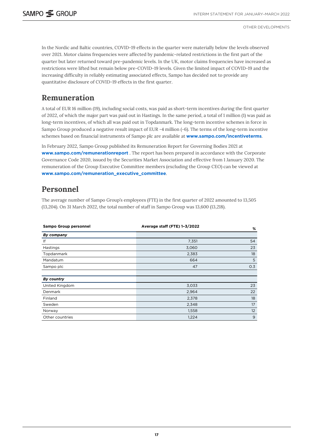<span id="page-16-0"></span>In the Nordic and Baltic countries, COVID-19 effects in the quarter were materially below the levels observed over 2021. Motor claims frequencies were affected by pandemic-related restrictions in the first part of the quarter but later returned toward pre-pandemic levels. In the UK, motor claims frequencies have increased as restrictions were lifted but remain below pre-COVID-19 levels. Given the limited impact of COVID-19 and the increasing difficulty in reliably estimating associated effects, Sampo has decided not to provide any quantitative disclosure of COVID-19 effects in the first quarter.

## **Remuneration**

A total of EUR 16 million (19), including social costs, was paid as short-term incentives during the first quarter of 2022, of which the major part was paid out in Hastings. In the same period, a total of 1 million (1) was paid as long-term incentives, of which all was paid out in Topdanmark. The long-term incentive schemes in force in Sampo Group produced a negative result impact of EUR -4 million (-6). The terms of the long-term incentive schemes based on financial instruments of Sampo plc are available at **[www.sampo.com/incentiveterms](https://www.sampo.com/incentiveterms)**.

In February 2022, Sampo Group published its Remuneration Report for Governing Bodies 2021 at **[www.sampo.com/remunerationreport](https://www.sampo.com/remunerationreport)** . The report has been prepared in accordance with the Corporate Governance Code 2020, issued by the Securities Market Association and effective from 1 January 2020. The remuneration of the Group Executive Committee members (excluding the Group CEO) can be viewed at **[www.sampo.com/remuneration\\_executive\\_committee](https://www.sampo.com/remuneration_executive_committee)**.

## **Personnel**

The average number of Sampo Group's employees (FTE) in the first quarter of 2022 amounted to 13,505 (13,204). On 31 March 2022, the total number of staff in Sampo Group was 13,600 (13,218).

| Sampo Group personnel | Average staff (FTE) 1-3/2022 | %   |
|-----------------------|------------------------------|-----|
| By company            |                              |     |
| lf                    | 7,351                        | 54  |
| Hastings              | 3,060                        | 23  |
| Topdanmark            | 2,383                        | 18  |
| Mandatum              | 664                          | 5   |
| Sampo plc             | 47                           | 0.3 |
|                       |                              |     |
| By country            |                              |     |
| United Kingdom        | 3,033                        | 23  |
| Denmark               | 2,964                        | 22  |
| Finland               | 2,378                        | 18  |
| Sweden                | 2,348                        | 17  |
| Norway                | 1,558                        | 12  |
| Other countries       | 1,224                        | 9   |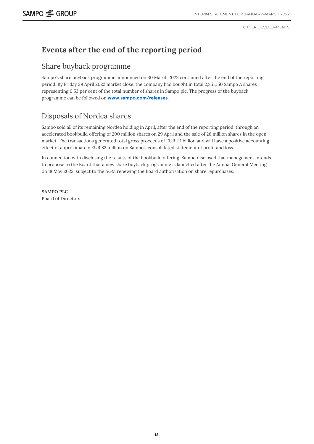## **Events after the end of the reporting period**

### Share buyback programme

Sampo's share buyback programme announced on 30 March 2022 continued after the end of the reporting period. By Friday 29 April 2022 market close, the company had bought in total 2,851,150 Sampo A shares representing 0.53 per cent of the total number of shares in Sampo plc. The progress of the buyback programme can be followed on **[www.sampo.com/releases](http://www.sampo.com/releases)**.

## Disposals of Nordea shares

Sampo sold all of its remaining Nordea holding in April, after the end of the reporting period, through an accelerated bookbuild offering of 200 million shares on 29 April and the sale of 26 million shares in the open market. The transactions generated total gross proceeds of EUR 2.1 billion and will have a positive accounting effect of approximately EUR 82 million on Sampo's consolidated statement of profit and loss.

In connection with disclosing the results of the bookbuild offering, Sampo disclosed that management intends to propose to the Board that a new share buyback programme is launched after the Annual General Meeting on 18 May 2022, subject to the AGM renewing the Board authorisation on share repurchases.

**SAMPO PLC** Board of Directors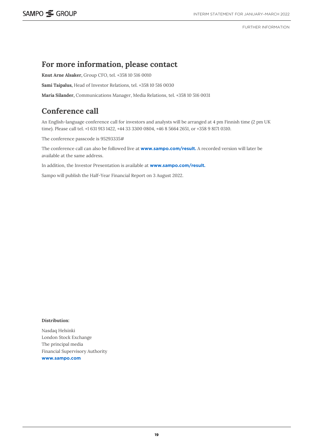FURTHER INFORMATION

### **For more information, please contact**

**Knut Arne Alsaker,** Group CFO, tel. +358 10 516 0010

**Sami Taipalus,** Head of Investor Relations, tel. +358 10 516 0030

**Maria Silander,** Communications Manager, Media Relations, tel. +358 10 516 0031

## **Conference call**

An English-language conference call for investors and analysts will be arranged at 4 pm Finnish time (2 pm UK time). Please call tel. +1 631 913 1422, +44 33 3300 0804, +46 8 5664 2651, or +358 9 8171 0310.

The conference passcode is 95293335#

The conference call can also be followed live at **[www.sampo.com/result.](http://www.sampo.com/result)** A recorded version will later be available at the same address.

In addition, the Investor Presentation is available at **[www.sampo.com/result](http://www.sampo.com/result).**

Sampo will publish the Half-Year Financial Report on 3 August 2022.

#### **Distribution:**

Nasdaq Helsinki London Stock Exchange The principal media Financial Supervisory Authority **[www.sampo.com](http://www.sampo.com/)**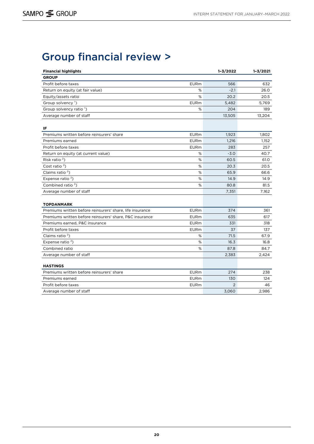# <span id="page-19-0"></span>Group financial review >

| <b>Financial highlights</b>                                                    |             | $1 - 3/2022$   | $1 - 3/2021$ |
|--------------------------------------------------------------------------------|-------------|----------------|--------------|
| <b>GROUP</b>                                                                   |             |                |              |
| Profit before taxes                                                            | <b>EURm</b> | 566            | 632          |
| Return on equity (at fair value)                                               | %           | $-2.1$         | 26.0         |
| Equity/assets ratio                                                            | %           | 20.2           | 20.5         |
| Group solvency <sup>1</sup> )                                                  | <b>EURm</b> | 5.482          | 5.769        |
| Group solvency ratio <sup>1</sup> )                                            | %           | 204            | 189          |
| Average number of staff                                                        |             | 13,505         | 13,204       |
| IF                                                                             |             |                |              |
| Premiums written before reinsurers' share                                      | <b>EURm</b> | 1,923          | 1,802        |
| Premiums earned                                                                | <b>EURm</b> | 1,216          | 1,152        |
| Profit before taxes                                                            | <b>EURm</b> | 283            | 257          |
| Return on equity (at current value)                                            | %           | $-3.0$         | 40.7         |
| Risk ratio $2$ )                                                               | %           | 60.5           | 61.0         |
| Cost ratio $2$ )                                                               | $\%$        | 20.3           | 20.5         |
| Claims ratio $2$ )                                                             | %           | 65.9           | 66.6         |
| Expense ratio $2$ )                                                            | %           | 14.9           | 14.9         |
| Combined ratio $2$ )                                                           | $\%$        | 80.8           | 81.5         |
| Average number of staff                                                        |             | 7,351          | 7,162        |
|                                                                                |             |                |              |
| <b>TOPDANMARK</b><br>Premiums written before reinsurers' share, life insurance | <b>EURm</b> | 374            | 361          |
| Premiums written before reinsurers' share, P&C insurance                       | <b>EURm</b> | 635            | 617          |
| Premiums earned, P&C insurance                                                 | <b>EURm</b> | 331            | 318          |
| Profit before taxes                                                            | <b>EURm</b> | 37             | 137          |
| Claims ratio $2$ )                                                             | %           | 71.5           | 67.9         |
| Expense ratio <sup>2</sup> )                                                   | %           | 16.3           | 16.8         |
| Combined ratio                                                                 | %           | 87.8           | 84.7         |
| Average number of staff                                                        |             | 2,383          | 2,424        |
|                                                                                |             |                |              |
| <b>HASTINGS</b>                                                                |             |                |              |
| Premiums written before reinsurers' share                                      | <b>EURm</b> | 274            | 238          |
| Premiums earned                                                                | <b>EURm</b> | 130            | 124          |
| Profit before taxes                                                            | <b>EURm</b> | $\overline{2}$ | 46           |
| Average number of staff                                                        |             | 3,060          | 2,986        |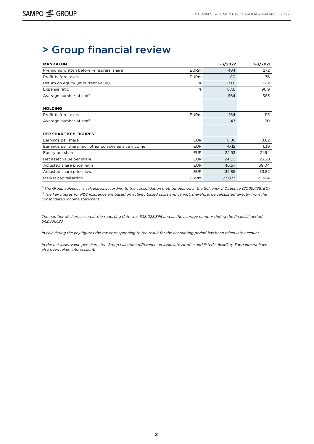# > Group financial review

| <b>MANDATUM</b>                                      |             | $1 - 3/2022$ | $1 - 3/2021$ |
|------------------------------------------------------|-------------|--------------|--------------|
| Premiums written before reinsurers' share            | <b>EURm</b> | 484          | 272          |
| Profit before taxes                                  | <b>EURm</b> | 80           | 76           |
| Return on equity (at current value)                  | %           | $-31.8$      | 27.2         |
| Expense ratio                                        | %           | 87.6         | 96.9         |
| Average number of staff                              |             | 664          | 563          |
|                                                      |             |              |              |
| <b>HOLDING</b>                                       |             |              |              |
| Profit before taxes                                  | <b>EURm</b> | 164          | 115          |
| Average number of staff                              |             | 47           | 70           |
|                                                      |             |              |              |
| <b>PER SHARE KEY FIGURES</b>                         |             |              |              |
| Earnings per share                                   | <b>EUR</b>  | 0.86         | 0.82         |
| Earnings per share, incl. other comprehensive income | <b>EUR</b>  | $-0.12$      | 1.39         |
| Equity per share                                     | <b>EUR</b>  | 22.93        | 21.94        |
| Net asset value per share                            | <b>EUR</b>  | 24.50        | 23.28        |
| Adjusted share price, high                           | <b>EUR</b>  | 46.57        | 39.04        |
| Adjusted share price, low                            | <b>EUR</b>  | 35.85        | 33.82        |
| Market capitalisation                                | <b>EURm</b> | 23,877       | 21,364       |

*1) The Group solvency is calculated according to the consolidation method defined in the Solvency II Directive (2009/138/EC). 2) The key figures for P&C Insurance are based on activity based costs and cannot, therefore, be calculated directly from the consolidated income statement.* 

*The number of shares used at the reporting date was 538,023,345 and as the average number during the financial period 542,331,423.*

*In calculating the key figures the tax corresponding to the result for the accounting period has been taken into account.* 

*In the net asset value per share, the Group valuation difference on associate Nordea and listed subsidiary Topdanmark have also been taken into account.*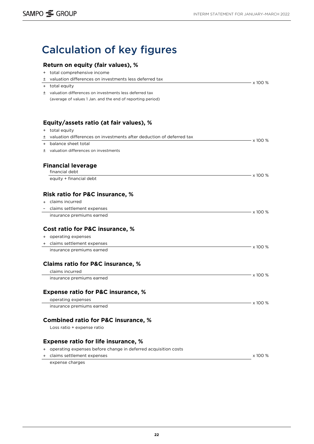# <span id="page-21-0"></span>Calculation of key figures

### **Return on equity (fair values), %**

| $^{+}$ | total comprehensive income                                             |                |
|--------|------------------------------------------------------------------------|----------------|
| ±      | valuation differences on investments less deferred tax                 |                |
| $+$    | total equity                                                           | x 100 %        |
|        | ± valuation differences on investments less deferred tax               |                |
|        | (average of values 1 Jan. and the end of reporting period)             |                |
|        |                                                                        |                |
|        |                                                                        |                |
|        | Equity/assets ratio (at fair values), %                                |                |
|        | + total equity                                                         |                |
|        | ± valuation differences on investments after deduction of deferred tax | x 100 %        |
|        | + balance sheet total                                                  |                |
|        | ± valuation differences on investments                                 |                |
|        | <b>Financial leverage</b>                                              |                |
|        | financial debt                                                         |                |
|        | equity + financial debt                                                | $\times$ 100 % |
|        | <b>Risk ratio for P&amp;C insurance, %</b>                             |                |
|        | + claims incurred                                                      |                |
|        | claims settlement expenses                                             |                |
|        | insurance premiums earned                                              | x 100 %        |
|        |                                                                        |                |
|        | Cost ratio for P&C insurance, %                                        |                |
|        | + operating expenses                                                   |                |
|        | + claims settlement expenses                                           | x 100 %        |
|        | insurance premiums earned                                              |                |
|        | <b>Claims ratio for P&amp;C insurance, %</b>                           |                |
|        | claims incurred                                                        |                |
|        | insurance premiums earned                                              | x 100 %        |
|        | <b>Expense ratio for P&amp;C insurance, %</b>                          |                |
|        | operating expenses                                                     |                |
|        | insurance premiums earned                                              | x 100 %        |
|        |                                                                        |                |
|        | <b>Combined ratio for P&amp;C insurance, %</b>                         |                |
|        | Loss ratio + expense ratio                                             |                |
|        | <b>Expense ratio for life insurance, %</b>                             |                |
|        | + operating expenses before change in deferred acquisition costs       |                |
| $+$    | claims settlement expenses                                             | x 100 %        |
|        | expense charges                                                        |                |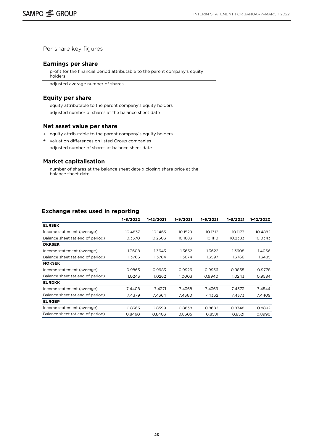Per share key figures

#### **Earnings per share**

profit for the financial period attributable to the parent company's equity holders

adjusted average number of shares

#### **Equity per share**

equity attributable to the parent company's equity holders

adjusted number of shares at the balance sheet date

#### **Net asset value per share**

- + equity attributable to the parent company's equity holders
- ± valuation differences on listed Group companies
	- adjusted number of shares at balance sheet date

#### **Market capitalisation**

number of shares at the balance sheet date x closing share price at the balance sheet date

#### **Exchange rates used in reporting**

|                                  | $1 - 3/2022$ | 1-12/2021 | $1 - 9/2021$ | $1 - 6/2021$ | $1 - 3/2021$ | 1-12/2020 |
|----------------------------------|--------------|-----------|--------------|--------------|--------------|-----------|
| <b>EURSEK</b>                    |              |           |              |              |              |           |
| Income statement (average)       | 10.4837      | 10.1465   | 10.1529      | 10.1312      | 10.1173      | 10.4882   |
| Balance sheet (at end of period) | 10.3370      | 10.2503   | 10.1683      | 10.1110      | 10.2383      | 10.0343   |
| <b>DKKSEK</b>                    |              |           |              |              |              |           |
| Income statement (average)       | 1.3608       | 1.3643    | 1.3652       | 1.3622       | 1.3608       | 1.4066    |
| Balance sheet (at end of period) | 1.3766       | 1.3784    | 1.3674       | 1.3597       | 1.3766       | 1.3485    |
| <b>NOKSEK</b>                    |              |           |              |              |              |           |
| Income statement (average)       | 0.9865       | 0.9983    | 0.9926       | 0.9956       | 0.9865       | 0.9778    |
| Balance sheet (at end of period) | 1.0243       | 1.0262    | 1.0003       | 0.9940       | 1.0243       | 0.9584    |
| <b>EURDKK</b>                    |              |           |              |              |              |           |
| Income statement (average)       | 7.4408       | 7.4371    | 7.4368       | 7.4369       | 7.4373       | 7.4544    |
| Balance sheet (at end of period) | 7.4379       | 7.4364    | 7.4360       | 7.4362       | 7.4373       | 7.4409    |
| <b>EURGBP</b>                    |              |           |              |              |              |           |
| Income statement (average)       | 0.8363       | 0.8599    | 0.8638       | 0.8682       | 0.8748       | 0.8892    |
| Balance sheet (at end of period) | 0.8460       | 0.8403    | 0.8605       | 0.8581       | 0.8521       | 0.8990    |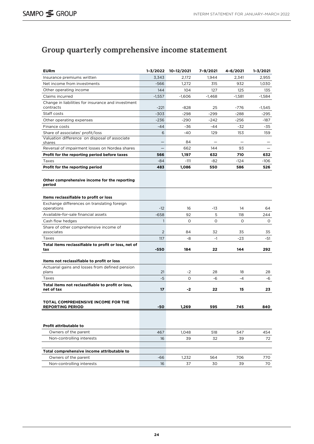## <span id="page-23-0"></span>**Group quarterly comprehensive income statement**

| <b>EURm</b>                                                     | $1 - 3/2022$ | 10-12/2021    | 7-9/2021 | 4-6/2021   | 1-3/2021 |
|-----------------------------------------------------------------|--------------|---------------|----------|------------|----------|
| Insurance premiums written                                      | 3,343        | 2,172         | 1,944    | 2,341      | 2,955    |
| Net income from investments                                     | $-566$       | 1,272         | 315      | 932        | 1,030    |
| Other operating income                                          | 144          | 104           | 127      | 125        | 135      |
| Claims incurred                                                 | $-1,557$     | $-1,606$      | $-1,468$ | $-1,581$   | -1,584   |
| Change in liabilities for insurance and investment<br>contracts | $-221$       | $-828$        | 25       | $-776$     | $-1,545$ |
| Staff costs                                                     | -303         | -298          | $-299$   | $-288$     | -295     |
| Other operating expenses                                        | $-236$       | -290          | $-242$   | $-256$     | -187     |
| Finance costs                                                   | $-44$        | -36           | -44      | -32        | -35      |
| Share of associates' profit/loss                                | 6            | $-40$         | 129      | 153        | 159      |
| Valuation difference on disposal of associate<br>shares         |              | 84            |          |            |          |
| Reversal of impairment losses on Nordea shares                  | -            | 662           | 144      | 93         |          |
| Profit for the reporting period before taxes                    | 566          | 1,197         | 632      | 710        | 632      |
| Taxes                                                           | -84          | $-111$        | -82      | $-124$     | -106     |
| Profit for the reporting period                                 | 483          | 1,086         | 550      | 586        | 526      |
| Other comprehensive income for the reporting<br>period          |              |               |          |            |          |
| Items reclassifiable to profit or loss                          |              |               |          |            |          |
| Exchange differences on translating foreign<br>operations       | $-12$        | 16            | -13      | 14         | 64       |
| Available-for-sale financial assets                             | $-658$       | 92            | 5        | 118        | 244      |
| Cash flow hedges                                                | $\mathbf{1}$ | $\circ$       | 0        | 0          | $\circ$  |
| Share of other comprehensive income of<br>associates            | 2            | 84            | 32       | 35         | 35       |
| Taxes                                                           | 117          | -8            | $-1$     | $-23$      | -51      |
| Total items reclassifiable to profit or loss, net of<br>tax     | $-550$       | 184           | 22       | 144        | 292      |
| Items not reclassifiable to profit or loss                      |              |               |          |            |          |
| Actuarial gains and losses from defined pension                 |              |               |          |            |          |
| plans                                                           | 21<br>-5     | -2<br>$\circ$ | 28       | 18<br>$-4$ | 28       |
| Taxes                                                           |              |               | -6       |            | -6       |
| Total items not reclassifiable to profit or loss,<br>net of tax | 17           | -2            | 22       | 15         | 23       |
| TOTAL COMPREHENSIVE INCOME FOR THE<br><b>REPORTING PERIOD</b>   | -50          | 1,269         | 595      | 745        | 840      |
|                                                                 |              |               |          |            |          |
| <b>Profit attributable to</b>                                   |              |               |          |            |          |
| Owners of the parent                                            | 467          | 1,048         | 518      | 547        | 454      |
| Non-controlling interests                                       | 16           | 39            | 32       | 39         | 72       |
| Total comprehensive income attributable to                      |              |               |          |            |          |
| Owners of the parent                                            | -66          | 1,232         | 564      | 706        | 770      |
| Non-controlling interests                                       | 16           | 37            | 30       | 39         | 70       |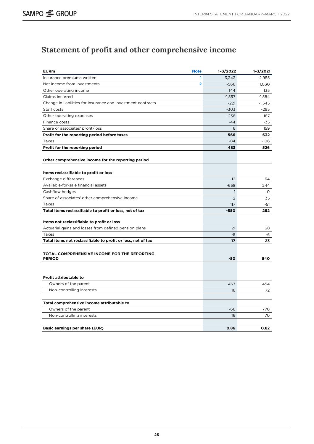## <span id="page-24-0"></span>**Statement of profit and other comprehensive income**

| <b>EURm</b>                                                  | <b>Note</b>    | 1-3/2022     | $1 - 3/2021$ |
|--------------------------------------------------------------|----------------|--------------|--------------|
| Insurance premiums written                                   | 1              | 3,343        | 2,955        |
| Net income from investments                                  | $\overline{2}$ | $-566$       | 1,030        |
| Other operating income                                       |                | 144          | 135          |
| Claims incurred                                              |                | $-1,557$     | $-1,584$     |
| Change in liabilities for insurance and investment contracts |                | $-221$       | $-1,545$     |
| Staff costs                                                  |                | $-303$       | $-295$       |
| Other operating expenses                                     |                | $-236$       | $-187$       |
| Finance costs                                                |                | $-44$        | $-35$        |
| Share of associates' profit/loss                             |                | 6            | 159          |
| Profit for the reporting period before taxes                 |                | 566          | 632          |
| Taxes                                                        |                | $-84$        | $-106$       |
| Profit for the reporting period                              |                | 483          | 526          |
| Other comprehensive income for the reporting period          |                |              |              |
| Items reclassifiable to profit or loss                       |                |              |              |
| Exchange differences                                         |                | $-12$        | 64           |
| Available-for-sale financial assets                          |                | $-658$       | 244          |
| Cashflow hedges                                              |                | $\mathbf{1}$ | 0            |
| Share of associates' other comprehensive income              |                | 2            | 35           |
| Taxes                                                        |                | 117          | -51          |
| Total items reclassifiable to profit or loss, net of tax     |                | $-550$       | 292          |
| Items not reclassifiable to profit or loss                   |                |              |              |
| Actuarial gains and losses from defined pension plans        |                | 21           | 28           |
| Taxes                                                        |                | -5           | -6           |
| Total items not reclassifiable to profit or loss, net of tax |                | 17           | 23           |
| TOTAL COMPREHENSIVE INCOME FOR THE REPORTING                 |                |              |              |
| <b>PERIOD</b>                                                |                | -50          | 840          |
|                                                              |                |              |              |
| Profit attributable to                                       |                |              |              |
| Owners of the parent                                         |                | 467          | 454          |
| Non-controlling interests                                    |                | 16           | 72           |
|                                                              |                |              |              |
| Total comprehensive income attributable to                   |                |              |              |
| Owners of the parent                                         |                | $-66$        | 770          |
| Non-controlling interests                                    |                | 16           | 70           |
| <b>Basic earnings per share (EUR)</b>                        |                | 0.86         | 0.82         |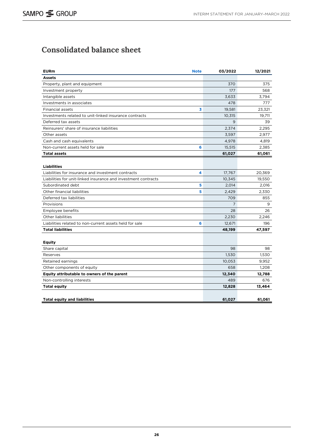## <span id="page-25-0"></span>**Consolidated balance sheet**

| <b>EURm</b>                                                    | <b>Note</b> | 03/2022 | 12/2021 |
|----------------------------------------------------------------|-------------|---------|---------|
| <b>Assets</b>                                                  |             |         |         |
| Property, plant and equipment                                  |             | 370     | 375     |
| Investment property                                            |             | 177     | 568     |
| Intangible assets                                              |             | 3,633   | 3,794   |
| Investments in associates                                      |             | 478     | 777     |
| <b>Financial assets</b>                                        | 3           | 19,581  | 23,321  |
| Investments related to unit-linked insurance contracts         |             | 10,315  | 19.711  |
| Deferred tax assets                                            |             | 9       | 39      |
| Reinsurers' share of insurance liabilities                     |             | 2,374   | 2,295   |
| Other assets                                                   |             | 3,597   | 2,977   |
| Cash and cash equivalents                                      |             | 4,978   | 4,819   |
| Non-current assets held for sale                               | 6           | 15,515  | 2,385   |
| <b>Total assets</b>                                            |             | 61,027  | 61,061  |
|                                                                |             |         |         |
| <b>Liabilities</b>                                             |             |         |         |
| Liabilities for insurance and investment contracts             | 4           | 17,767  | 20,369  |
| Liabilities for unit-linked insurance and investment contracts |             | 10,345  | 19,550  |
| Subordinated debt                                              | 5           | 2.014   | 2.016   |
| Other financial liabilities                                    | 5           | 2,429   | 2,330   |
| Deferred tax liabilities                                       |             | 709     | 855     |
| Provisions                                                     |             | 7       | 9       |
| Employee benefits                                              |             | 28      | 26      |
| Other liabilities                                              |             | 2,230   | 2,246   |
| Liabilities related to non-current assets held for sale        | 6           | 12,671  | 196     |
| <b>Total liabilities</b>                                       |             | 48,199  | 47,597  |
|                                                                |             |         |         |
| <b>Equity</b>                                                  |             |         |         |
| Share capital                                                  |             | 98      | 98      |
| Reserves                                                       |             | 1.530   | 1.530   |
| Retained earnings                                              |             | 10,053  | 9,952   |
| Other components of equity                                     |             | 658     | 1,208   |
| Equity attributable to owners of the parent                    |             | 12,340  | 12,788  |
| Non-controlling interests                                      |             | 489     | 676     |
| <b>Total equity</b>                                            |             | 12,828  | 13,464  |
|                                                                |             |         |         |
| <b>Total equity and liabilities</b>                            |             | 61,027  | 61,061  |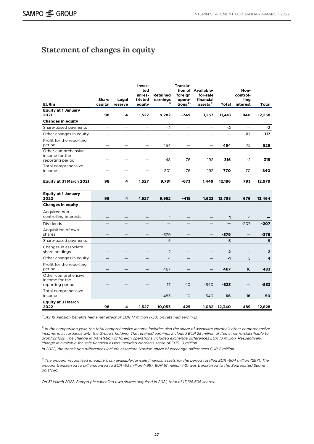## <span id="page-26-0"></span>**Statement of changes in equity**

| <b>EURm</b>                                               | <b>Share</b><br>capital  | Legal<br>reserve | Inves-<br>ted<br>unres-<br>tricted<br>equity | <b>Retained</b><br>earnings<br>1) | Transla-<br>foreign<br>opera-<br>tions <sup>2)</sup> | tion of Available-<br>for-sale<br>financial<br>assets <sup>3)</sup> | <b>Total</b>    | Non-<br>control-<br>ling<br>interest | Total        |
|-----------------------------------------------------------|--------------------------|------------------|----------------------------------------------|-----------------------------------|------------------------------------------------------|---------------------------------------------------------------------|-----------------|--------------------------------------|--------------|
| <b>Equity at 1 January</b>                                |                          |                  |                                              |                                   |                                                      |                                                                     |                 |                                      |              |
| 2021                                                      | 98                       | 4                | 1,527                                        | 9,282                             | $-749$                                               | 1,257                                                               | 11,418          | 840                                  | 12,258       |
| <b>Changes in equity</b>                                  |                          |                  |                                              |                                   |                                                      |                                                                     |                 |                                      |              |
| Share-based payments                                      | $\overline{\phantom{0}}$ | -                | $\equiv$                                     | $-2$                              | $\equiv$                                             | -                                                                   | $-2$            | $\equiv$                             | -2           |
| Other changes in equity                                   | $\overline{\phantom{0}}$ |                  |                                              | $\overline{\phantom{0}}$          |                                                      | $\overline{\phantom{0}}$                                            | $\qquad \qquad$ | $-117$                               | $-117$       |
| Profit for the reporting<br>period                        |                          | —                |                                              | 454                               |                                                      |                                                                     | 454             | 72                                   | 526          |
| Other comprehensive<br>income for the<br>reporting period |                          |                  |                                              | 48                                | 76                                                   | 192                                                                 | 316             | $-2$                                 | 315          |
| Total comprehensive<br>income                             |                          |                  |                                              | 501                               | 76                                                   | 192                                                                 | 770             | 70                                   | 840          |
| Equity at 31 March 2021                                   | 98                       | 4                | 1,527                                        | 9,781                             | $-673$                                               | 1,449                                                               | 12,186          | 793                                  | 12,979       |
| <b>Equity at 1 January</b><br>2022                        | 98                       | 4                | 1,527                                        | 9,952                             | $-415$                                               | 1,622                                                               | 12,788          | 676                                  | 13,464       |
| <b>Changes in equity</b>                                  |                          |                  |                                              |                                   |                                                      |                                                                     |                 |                                      |              |
| Acquired non-<br>controlling interests                    |                          |                  |                                              | $\mathbf{1}$                      |                                                      |                                                                     | 1               | $-1$                                 |              |
| Dividends                                                 |                          |                  |                                              |                                   |                                                      |                                                                     | -               | $-207$                               | $-207$       |
| Acquisition of own<br>shares                              |                          |                  |                                              | $-379$                            |                                                      |                                                                     | $-379$          |                                      | $-379$       |
| Share-based payments                                      |                          |                  |                                              | $-5$                              |                                                      |                                                                     | -5              |                                      | -5           |
| Changes in associate<br>share holdings                    |                          |                  |                                              | $\overline{2}$                    |                                                      |                                                                     | $\mathbf{2}$    |                                      | $\mathbf{2}$ |
| Other changes in equity                                   |                          |                  |                                              | $-1$                              |                                                      |                                                                     | $-1$            | 5                                    | 4            |
| Profit for the reporting<br>period                        |                          |                  |                                              | 467                               |                                                      |                                                                     | 467             | 16                                   | 483          |
| Other comprehensive<br>income for the<br>reporting period |                          |                  |                                              | 17                                | $-10$                                                | $-540$                                                              | $-533$          |                                      | -533         |
| Total comprehensive<br>income                             |                          |                  |                                              | 483                               | $-10$                                                | $-540$                                                              | -66             | 16                                   | -50          |
| <b>Equity at 31 March</b><br>2022                         | 98                       | 4                | 1,527                                        | 10,053                            | -425                                                 | 1,082                                                               | 12,340          | 489                                  | 12,828       |

*1) IAS 19 Pension benefits had a net effect of EUR 17 million (-38) on retained earnings.*

*2) In the comparison year, the total comprehensive income includes also the share of associate Nordea's other comprehensive income, in accordance with the Group's holding. The retained earnings included EUR 25 million of items not re-classifiable to profit or loss. The change in translation of foreign operations included exchange differences EUR 13 million. Respectively, change in available-for-sale financial assets included Nordea's share of EUR -3 million.* 

*In 2022, the translation differences include associate Nordax' share of exchange differences EUR 2 million.*

*3) The amount recognised in equity from available-for-sale financial assets for the period totalled EUR -504 million (297). The amount transferred to p/l amounted to EUR -53 million (-99). EUR 16 million (-2) was transferred to the Segregated Suomi portfolio.* 

*On 31 March 2022, Sampo plc cancelled own shares acquired in 2021, total of 17,128,505 shares.*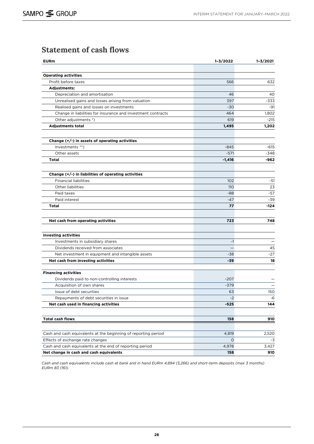## <span id="page-27-0"></span>**Statement of cash flows**

| <b>EURm</b>                                                    | $1 - 3/2022$ | $1 - 3/2021$ |
|----------------------------------------------------------------|--------------|--------------|
|                                                                |              |              |
| <b>Operating activities</b>                                    |              |              |
| Profit before taxes                                            | 566          | 632          |
| <b>Adjustments:</b>                                            |              |              |
| Depreciation and amortisation                                  | 46           | 40           |
| Unrealised gains and losses arising from valuation             | 397          | -333         |
| Realised gains and losses on investments                       | $-30$        | $-91$        |
| Change in liabilities for insurance and investment contracts   | 464          | 1,802        |
| Other adjustments *)                                           | 619          | $-215$       |
| <b>Adjustments total</b>                                       | 1,495        | 1,202        |
| Change (+/-) in assets of operating activities                 |              |              |
| Investments **)                                                | $-845$       | -615         |
| Other assets                                                   | $-571$       | $-348$       |
| <b>Total</b>                                                   | -1,416       | -962         |
| Change $(+/-)$ in liabilities of operating activities          |              |              |
| <b>Financial liabilities</b>                                   | 102          | -51          |
| Other liabilities                                              | <b>110</b>   | 23           |
| Paid taxes                                                     | -88          | -57          |
| Paid interest                                                  | -47          | -39          |
| Total                                                          | 77           | -124         |
|                                                                |              |              |
| Net cash from operating activities                             | 723          | 748          |
|                                                                |              |              |
| <b>Investing activities</b>                                    |              |              |
| Investments in subsidiary shares                               | $-1$         |              |
| Dividends received from associates                             |              | 45           |
| Net investment in equipment and intangible assets              | -38          | -27          |
| Net cash from investing activities                             | -39          | 18           |
| <b>Financing activities</b>                                    |              |              |
| Dividends paid to non-controlling interests                    | $-207$       |              |
| Acquisition of own shares                                      | -379         |              |
| Issue of debt securities                                       | 63           | 150          |
| Repayments of debt securities in issue                         | $-2$         | -6           |
| Net cash used in financing activities                          | -525         | 144          |
| <b>Total cash flows</b>                                        | 158          | 910          |
|                                                                |              |              |
| Cash and cash equivalents at the beginning of reporting period | 4,819        | 2,520        |
| Effects of exchange rate changes                               | $\circ$      | -3           |
| Cash and cash equivalents at the end of reporting period       | 4,978        | 3,427        |
| Net change in cash and cash equivalents                        | 158          | 910          |

*Cash and cash equivalents include cash at bank and in hand EURm 4,894 (3,266) and short-term deposits (max 3 months) EURm 83 (161).*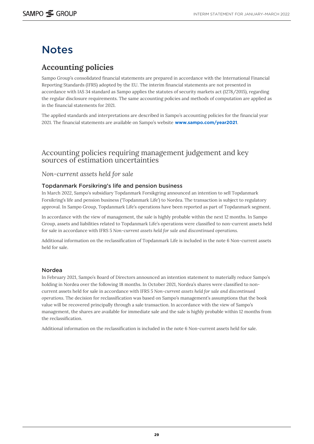# <span id="page-28-0"></span>**Notes**

## **Accounting policies**

Sampo Group's consolidated financial statements are prepared in accordance with the International Financial Reporting Standards (IFRS) adopted by the EU. The interim financial statements are not presented in accordance with IAS 34 standard as Sampo applies the statutes of security markets act (1278/2015), regarding the regular disclosure requirements. The same accounting policies and methods of computation are applied as in the financial statements for 2021.

The applied standards and interpretations are described in Sampo's accounting policies for the financial year 2021. The financial statements are available on Sampo's website **[www.sampo.com/year2021](http://www.sampo.com/year2021)**.

### Accounting policies requiring management judgement and key sources of estimation uncertainties

#### *Non-current assets held for sale*

#### Topdanmark Forsikring's life and pension business

In March 2022, Sampo's subsidiary Topdanmark Forsikgring announced an intention to sell Topdanmark Forsikring's life and pension business ('Topdanmark Life') to Nordea. The transaction is subject to regulatory approval. In Sampo Group, Topdanmark Life's operations have been reported as part of Topdanmark segment.

In accordance with the view of management, the sale is highly probable within the next 12 months. In Sampo Group, assets and liabilities related to Topdanmark Life's operations were classified to non-current assets held for sale in accordance with IFRS 5 *Non-current assets held for sale and discontinued operations.* 

Additional information on the reclassification of Topdanmark Life is included in the note 6 Non-current assets held for sale.

#### Nordea

In February 2021, Sampo's Board of Directors announced an intention statement to materially reduce Sampo's holding in Nordea over the following 18 months. In October 2021, Nordea's shares were classified to noncurrent assets held for sale in accordance with IFRS 5 *Non-current assets held for sale and discontinued operations*. The decision for reclassification was based on Sampo's management's assumptions that the book value will be recovered principally through a sale transaction. In accordance with the view of Sampo's management, the shares are available for immediate sale and the sale is highly probable within 12 months from the reclassification.

Additional information on the reclassification is included in the note 6 Non-current assets held for sale.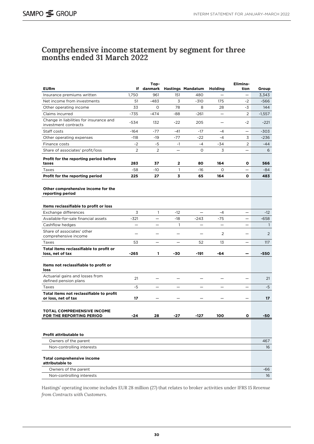### <span id="page-29-0"></span>**Comprehensive income statement by segment for three months ended 31 March 2022**

|                                                                 |                | Тор-                     |                          |                          |                          | Elimina-                 |              |
|-----------------------------------------------------------------|----------------|--------------------------|--------------------------|--------------------------|--------------------------|--------------------------|--------------|
| <b>EURm</b>                                                     |                | If danmark               |                          | <b>Hastings Mandatum</b> | Holding                  | tion                     | Group        |
| Insurance premiums written                                      | 1,750          | 961                      | 151                      | 480                      |                          |                          | 3,343        |
| Net income from investments                                     | 51             | $-483$                   | 3                        | $-310$                   | 175                      | $-2$                     | -566         |
| Other operating income                                          | 33             | $\circ$                  | 78                       | 8                        | 28                       | -3                       | 144          |
| Claims incurred                                                 | -735           | -474                     | -88                      | $-261$                   |                          | 2                        | $-1,557$     |
| Change in liabilities for insurance and<br>investment contracts | -534           | 132                      | $-22$                    | 205                      | $\overline{\phantom{0}}$ | $-2$                     | $-221$       |
| Staff costs                                                     | $-164$         | $-77$                    | $-41$                    | $-17$                    | $-4$                     | $\overline{\phantom{0}}$ | $-303$       |
| Other operating expenses                                        | $-118$         | $-19$                    | $-77$                    | $-22$                    | $-4$                     | 3                        | -236         |
| Finance costs                                                   | $-2$           | -5                       | $-1$                     | $-4$                     | -34                      | 2                        | -44          |
| Share of associates' profit/loss                                | $\overline{2}$ | 2                        | $\overline{\phantom{0}}$ | O                        | 3                        | $\equiv$                 | 6            |
| Profit for the reporting period before<br>taxes                 | 283            | 37                       | 2                        | 80                       | 164                      | о                        | 566          |
| Taxes                                                           | -58            | -10                      | $\mathbf{1}$             | -16                      | O                        | $\overline{\phantom{0}}$ | $-84$        |
| Profit for the reporting period                                 | 225            | 27                       | 3                        | 65                       | 164                      | 0                        | 483          |
|                                                                 |                |                          |                          |                          |                          |                          |              |
| Other comprehensive income for the<br>reporting period          |                |                          |                          |                          |                          |                          |              |
| Items reclassifiable to profit or loss                          |                |                          |                          |                          |                          |                          |              |
| Exchange differences                                            | 3              | $\mathbf{1}$             | $-12$                    |                          | $-4$                     |                          | $-12$        |
| Available-for-sale financial assets                             | $-321$         |                          | $-18$                    | -243                     | -75                      |                          | -658         |
| Cashflow hedges                                                 |                |                          | $\mathbf{1}$             |                          |                          |                          | $\mathbf{1}$ |
| Share of associates' other<br>comprehensive income              |                |                          |                          |                          | 2                        |                          | 2            |
| Taxes                                                           | 53             |                          | $\overline{\phantom{0}}$ | 52                       | 13                       | $\overline{\phantom{0}}$ | 117          |
| Total items reclassifiable to profit or<br>loss, net of tax     | $-265$         | 1.                       | -30                      | $-191$                   | -64                      |                          | -550         |
| Items not reclassifiable to profit or<br>loss                   |                |                          |                          |                          |                          |                          |              |
| Actuarial gains and losses from<br>defined pension plans        | 21             |                          |                          |                          |                          |                          | 21           |
| Taxes                                                           | $-5$           | $\overline{\phantom{0}}$ | $\overline{\phantom{0}}$ | $\overline{\phantom{0}}$ | $\equiv$                 | $\equiv$                 | $-5$         |
| Total items not reclassifiable to profit<br>or loss, net of tax | 17             |                          |                          |                          |                          |                          | 17           |
| <b>TOTAL COMPREHENSIVE INCOME</b><br>FOR THE REPORTING PERIOD   | -24            | 28                       | -27                      | $-127$                   | 100                      | о                        | -50          |
| Profit attributable to                                          |                |                          |                          |                          |                          |                          |              |
| Owners of the parent                                            |                |                          |                          |                          |                          |                          | 467          |
| Non-controlling interests                                       |                |                          |                          |                          |                          |                          | 16           |
|                                                                 |                |                          |                          |                          |                          |                          |              |
| <b>Total comprehensive income</b><br>attributable to            |                |                          |                          |                          |                          |                          |              |
| Owners of the parent                                            |                |                          |                          |                          |                          |                          | -66          |
| Non-controlling interests                                       |                |                          |                          |                          |                          |                          | 16           |

Hastings' operating income includes EUR 28 million (27) that relates to broker activities under IFRS 15 *Revenue from Contracts with Customers*.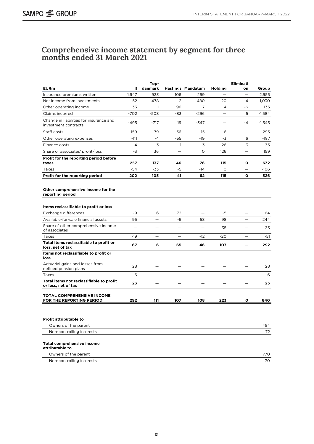### <span id="page-30-0"></span>**Comprehensive income statement by segment for three months ended 31 March 2021**

|                                                                 |                          | Top-                     |                          |                          |                | Eliminati                |          |
|-----------------------------------------------------------------|--------------------------|--------------------------|--------------------------|--------------------------|----------------|--------------------------|----------|
| <b>EURm</b>                                                     | ١f                       | danmark                  |                          | <b>Hastings Mandatum</b> | <b>Holding</b> | on                       | Group    |
| Insurance premiums written                                      | 1,647                    | 933                      | 106                      | 269                      |                |                          | 2,955    |
| Net income from investments                                     | 52                       | 478                      | $\overline{2}$           | 480                      | 20             | $-4$                     | 1.030    |
| Other operating income                                          | 33                       | $\mathbf{1}$             | 96                       | 7                        | 4              | -6                       | 135      |
| Claims incurred                                                 | $-702$                   | $-508$                   | -83                      | -296                     |                | 5                        | $-1,584$ |
| Change in liabilities for insurance and<br>investment contracts | -495                     | -717                     | 19                       | -347                     |                | $-4$                     | $-1,545$ |
| Staff costs                                                     | $-159$                   | $-79$                    | -36                      | $-15$                    | -6             | $\overline{\phantom{0}}$ | -295     |
| Other operating expenses                                        | $-111$                   | $-4$                     | -55                      | -19                      | -3             | 6                        | -187     |
| Finance costs                                                   | $-4$                     | -3                       | $-1$                     | -3                       | -26            | 3                        | -35      |
| Share of associates' profit/loss                                | -3                       | 36                       |                          | $\circ$                  | 126            |                          | 159      |
| Profit for the reporting period before<br>taxes                 | 257                      | 137                      | 46                       | 76                       | 115            | О                        | 632      |
| Taxes                                                           | -54                      | -33                      | $-5$                     | -14                      | 0              | $\overline{\phantom{0}}$ | $-106$   |
| Profit for the reporting period                                 | 202                      | 105                      | 41                       | 62                       | 115            | 0                        | 526      |
| Other comprehensive income for the<br>reporting period          |                          |                          |                          |                          |                |                          |          |
| Items reclassifiable to profit or loss                          |                          |                          |                          |                          |                |                          |          |
| Exchange differences                                            | -9                       | 6                        | 72                       | $\overline{\phantom{0}}$ | -5             | $\qquad \qquad -$        | 64       |
| Available-for-sale financial assets                             | 95                       | $=$                      | -6                       | 58                       | 98             | $\overline{\phantom{0}}$ | 244      |
| Share of other comprehensive income<br>of associates            | $\overline{\phantom{0}}$ | —                        | $\overline{\phantom{0}}$ |                          | 35             | $\overline{\phantom{0}}$ | 35       |
| Taxes                                                           | -19                      | $\overline{\phantom{0}}$ | $\overline{\phantom{0}}$ | $-12$                    | -20            | $\overline{\phantom{0}}$ | -51      |
| Total items reclassifiable to profit or<br>loss, net of tax     | 67                       | 6                        | 65                       | 46                       | 107            |                          | 292      |
| Items not reclassifiable to profit or<br>loss                   |                          |                          |                          |                          |                |                          |          |
| Actuarial gains and losses from<br>defined pension plans        | 28                       | —                        |                          |                          |                | $\overline{\phantom{0}}$ | 28       |
| Taxes                                                           | -6                       |                          |                          |                          |                |                          | -6       |
| Total items not reclassifiable to profit<br>or loss, net of tax | 23                       |                          |                          |                          |                |                          | 23       |
| TOTAL COMPREHENSIVE INCOME<br>FOR THE REPORTING PERIOD          | 292                      | 111                      | 107                      | 108                      | 223            | о                        | 840      |
| Profit attributable to                                          |                          |                          |                          |                          |                |                          |          |
| Owners of the parent                                            |                          |                          |                          |                          |                |                          | 454      |
| Non-controlling interests                                       |                          |                          |                          |                          |                |                          | 72       |
| <b>Total comprehensive income</b><br>attributable to            |                          |                          |                          |                          |                |                          |          |
| Owners of the parent                                            |                          |                          |                          |                          |                |                          | 770      |
| Non-controlling interests                                       |                          |                          |                          |                          |                |                          | 70       |
|                                                                 |                          |                          |                          |                          |                |                          |          |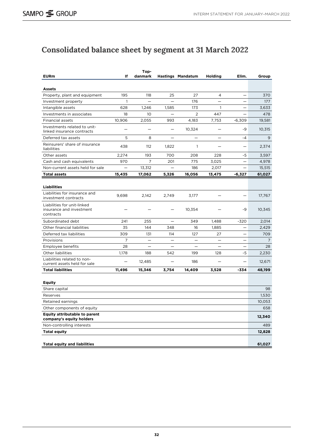# <span id="page-31-0"></span>**Consolidated balance sheet by segment at 31 March 2022**

| <b>EURm</b>                                                          | ١f                       | Top-<br>danmark          |                          | <b>Hastings Mandatum</b> | <b>Holding</b>           | Elim.                    | Group  |
|----------------------------------------------------------------------|--------------------------|--------------------------|--------------------------|--------------------------|--------------------------|--------------------------|--------|
|                                                                      |                          |                          |                          |                          |                          |                          |        |
| Assets                                                               |                          |                          |                          |                          |                          |                          |        |
| Property, plant and equipment                                        | 195                      | 118                      | 25                       | 27                       | 4                        |                          | 370    |
| Investment property                                                  | $\mathbf{1}$             | $\overline{\phantom{0}}$ |                          | 176                      |                          |                          | 177    |
| Intangible assets                                                    | 628                      | 1,246                    | 1,585                    | 173                      | $\mathbf{1}$             |                          | 3.633  |
| Investments in associates                                            | 18                       | 10                       |                          | $\overline{2}$           | 447                      |                          | 478    |
| Financial assets                                                     | 10,906                   | 2,055                    | 993                      | 4,183                    | 7,753                    | $-6,309$                 | 19,581 |
| Investments related to unit-<br>linked insurance contracts           | $\overline{\phantom{0}}$ | -                        | $\overline{\phantom{0}}$ | 10,324                   | $\overline{\phantom{0}}$ | -9                       | 10,315 |
| Deferred tax assets                                                  | 5                        | 8                        | $\qquad \qquad -$        | $\equiv$                 | $\overline{\phantom{0}}$ | $-4$                     | 9      |
| Reinsurers' share of insurance<br>liabilities                        | 438                      | 112                      | 1,822                    | $\mathbf{1}$             | $\equiv$                 | $\overline{\phantom{0}}$ | 2,374  |
| Other assets                                                         | 2,274                    | 193                      | 700                      | 208                      | 228                      | -5                       | 3,597  |
| Cash and cash equivalents                                            | 970                      | 7                        | 201                      | 775                      | 3,025                    |                          | 4,978  |
| Non-current assets held for sale                                     |                          | 13,312                   |                          | 186                      | 2,017                    |                          | 15,515 |
| <b>Total assets</b>                                                  | 15,435                   | 17,062                   | 5,326                    | 16,056                   | 13,475                   | -6,327                   | 61,027 |
|                                                                      |                          |                          |                          |                          |                          |                          |        |
| <b>Liabilities</b>                                                   |                          |                          |                          |                          |                          |                          |        |
| Liabilities for insurance and<br>investment contracts                | 9,698                    | 2,142                    | 2,749                    | 3,177                    |                          |                          | 17,767 |
| Liabilities for unit-linked<br>insurance and investment<br>contracts |                          |                          | $\overline{\phantom{0}}$ | 10,354                   |                          | -9                       | 10,345 |
| Subordinated debt                                                    | 241                      | 255                      | $\overline{\phantom{0}}$ | 349                      | 1,488                    | -320                     | 2,014  |
| Other financial liabilities                                          | 35                       | 144                      | 348                      | 16                       | 1,885                    |                          | 2,429  |
| Deferred tax liabilities                                             | 309                      | 131                      | 114                      | 127                      | 27                       |                          | 709    |
| Provisions                                                           | 7                        | $\overline{\phantom{0}}$ | $\overline{\phantom{0}}$ |                          |                          |                          | 7      |
| Employee benefits                                                    | 28                       | $\overline{\phantom{0}}$ | $\overline{\phantom{0}}$ |                          |                          |                          | 28     |
| Other liabilities                                                    | 1,178                    | 188                      | 542                      | 199                      | 128                      | -5                       | 2,230  |
| Liabilities related to non-<br>current assets held for sale          |                          | 12,485                   |                          | 186                      |                          |                          | 12,671 |
| <b>Total liabilities</b>                                             | 11,496                   | 15,346                   | 3,754                    | 14,409                   | 3,528                    | -334                     | 48,199 |
|                                                                      |                          |                          |                          |                          |                          |                          |        |
| <b>Equity</b>                                                        |                          |                          |                          |                          |                          |                          |        |
| Share capital                                                        |                          |                          |                          |                          |                          |                          | 98     |
| Reserves                                                             |                          |                          |                          |                          |                          |                          | 1,530  |
| Retained earnings                                                    |                          |                          |                          |                          |                          |                          | 10,053 |
| Other components of equity                                           |                          |                          |                          |                          |                          |                          | 658    |
| <b>Equity attributable to parent</b><br>company's equity holders     |                          |                          |                          |                          |                          |                          | 12,340 |
| Non-controlling interests                                            |                          |                          |                          |                          |                          |                          | 489    |
| <b>Total equity</b>                                                  |                          |                          |                          |                          |                          |                          | 12,828 |
|                                                                      |                          |                          |                          |                          |                          |                          |        |
| <b>Total equity and liabilities</b>                                  |                          |                          |                          |                          |                          |                          | 61,027 |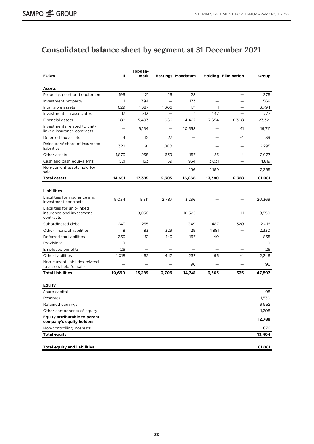# <span id="page-32-0"></span>**Consolidated balance sheet by segment at 31 December 2021**

|                                                                      | lf                       | Topdan-                  |                          |                          |                          |                            |        |
|----------------------------------------------------------------------|--------------------------|--------------------------|--------------------------|--------------------------|--------------------------|----------------------------|--------|
| <b>EURm</b>                                                          |                          | mark                     |                          | <b>Hastings Mandatum</b> |                          | <b>Holding Elimination</b> | Group  |
| Assets                                                               |                          |                          |                          |                          |                          |                            |        |
| Property, plant and equipment                                        | 196                      | 121                      | 26                       | 28                       | 4                        |                            | 375    |
| Investment property                                                  | 1                        | 394                      |                          | 173                      |                          |                            | 568    |
| Intangible assets                                                    | 629                      | 1,387                    | 1,606                    | 171                      | $\mathbf{1}$             |                            | 3,794  |
| Investments in associates                                            | 17                       | 313                      |                          | $\mathbf{1}$             | 447                      |                            | 777    |
| Financial assets                                                     | 11,088                   | 5,493                    | 966                      | 4,427                    | 7,654                    | $-6,308$                   | 23,321 |
| Investments related to unit-<br>linked insurance contracts           | $\overline{\phantom{0}}$ | 9,164                    | $\overline{\phantom{0}}$ | 10,558                   | $\overline{\phantom{0}}$ | $-11$                      | 19,711 |
| Deferred tax assets                                                  | 4                        | $12 \overline{ }$        | 27                       | $\qquad \qquad -$        | $\qquad \qquad -$        | $-4$                       | 39     |
| Reinsurers' share of insurance<br>liabilities                        | 322                      | 91                       | 1,880                    | $\mathbf{1}$             | $\overline{\phantom{0}}$ | $\overline{\phantom{0}}$   | 2,295  |
| Other assets                                                         | 1,873                    | 258                      | 639                      | 157                      | 55                       | $-4$                       | 2,977  |
| Cash and cash equivalents                                            | 521                      | 153                      | 159                      | 954                      | 3,031                    |                            | 4,819  |
| Non-current assets held for<br>sale                                  |                          |                          |                          | 196                      | 2,189                    | —                          | 2,385  |
| <b>Total assets</b>                                                  | 14,651                   | 17,385                   | 5,305                    | 16,668                   | 13,380                   | -6,328                     | 61,061 |
|                                                                      |                          |                          |                          |                          |                          |                            |        |
| <b>Liabilities</b>                                                   |                          |                          |                          |                          |                          |                            |        |
| Liabilities for insurance and<br>investment contracts                | 9,034                    | 5,311                    | 2,787                    | 3,236                    |                          |                            | 20,369 |
| Liabilities for unit-linked<br>insurance and investment<br>contracts |                          | 9,036                    |                          | 10,525                   |                          | $-11$                      | 19,550 |
| Subordinated debt                                                    | 243                      | 255                      |                          | 349                      | 1,487                    | -320                       | 2,016  |
| Other financial liabilities                                          | 8                        | 83                       | 329                      | 29                       | 1,881                    |                            | 2,330  |
| Deferred tax liabilities                                             | 353                      | 151                      | 143                      | 167                      | 40                       |                            | 855    |
| Provisions                                                           | 9                        | $\overline{\phantom{0}}$ |                          |                          |                          |                            | 9      |
| Employee benefits                                                    | 26                       |                          |                          | $\overline{\phantom{0}}$ |                          |                            | 26     |
| Other liabilities                                                    | 1,018                    | 452                      | 447                      | 237                      | 96                       | $-4$                       | 2,246  |
| Non-current liabilities related<br>to assets held for sale           |                          |                          |                          | 196                      | $\overline{\phantom{0}}$ |                            | 196    |
| <b>Total liabilities</b>                                             | 10,690                   | 15,289                   | 3,706                    | 14,741                   | 3,505                    | -335                       | 47,597 |
|                                                                      |                          |                          |                          |                          |                          |                            |        |
| <b>Equity</b>                                                        |                          |                          |                          |                          |                          |                            |        |
| Share capital                                                        |                          |                          |                          |                          |                          |                            | 98     |
| Reserves                                                             |                          |                          |                          |                          |                          |                            | 1,530  |
| Retained earnings                                                    |                          |                          |                          |                          |                          |                            | 9,952  |
| Other components of equity                                           |                          |                          |                          |                          |                          |                            | 1,208  |
| <b>Equity attributable to parent</b><br>company's equity holders     |                          |                          |                          |                          |                          |                            | 12,788 |
| Non-controlling interests                                            |                          |                          |                          |                          |                          |                            | 676    |
| <b>Total equity</b>                                                  |                          |                          |                          |                          |                          |                            | 13,464 |
|                                                                      |                          |                          |                          |                          |                          |                            |        |
| <b>Total equity and liabilities</b>                                  |                          |                          |                          |                          |                          |                            | 61,061 |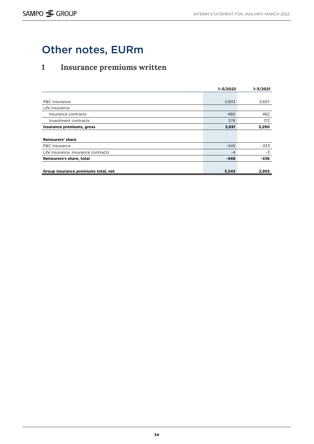# <span id="page-33-0"></span>Other notes, EURm

# **1 Insurance premiums written**

|                                     | $1 - 3/2022$ | $1 - 3/2021$ |
|-------------------------------------|--------------|--------------|
|                                     |              |              |
| P&C insurance                       | 2,833        | 2,657        |
| Life insurance                      |              |              |
| Insurance contracts                 | 480          | 462          |
| Investment contracts                | 378          | 172          |
| Insurance premiums, gross           | 3,691        | 3,290        |
|                                     |              |              |
| Reinsurers' share                   |              |              |
| P&C insurance                       | $-345$       | -333         |
| Life insurance, insurance contracts | $-4$         | $-3$         |
| Reinsurers's share, total           | $-348$       | -336         |
|                                     |              |              |
| Group insurance premiums total, net | 3,343        | 2,955        |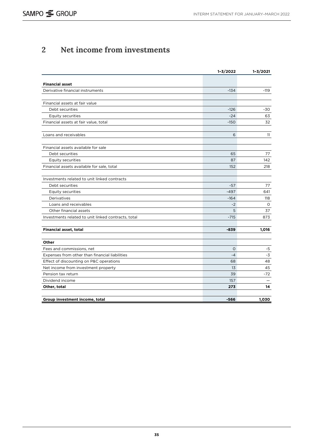## <span id="page-34-0"></span>**2 Net income from investments**

|                                                     | $1 - 3/2022$ | $1 - 3/2021$ |
|-----------------------------------------------------|--------------|--------------|
|                                                     |              |              |
| <b>Financial asset</b>                              |              |              |
| Derivative financial instruments                    | $-134$       | $-119$       |
| Financial assets at fair value                      |              |              |
| Debt securities                                     | $-126$       | -30          |
| Equity securities                                   | $-24$        | 63           |
| Financial assets at fair value, total               | $-150$       | 32           |
| Loans and receivables                               | 6            | 11           |
| Financial assets available for sale                 |              |              |
| Debt securities                                     | 65           | 77           |
| <b>Equity securities</b>                            | 87           | 142          |
| Financial assets available for sale, total          | 152          | 218          |
| Investments related to unit linked contracts        |              |              |
| Debt securities                                     | $-57$        | 77           |
| <b>Equity securities</b>                            | $-497$       | 641          |
| Derivatives                                         | $-164$       | 118          |
| Loans and receivables                               | $-2$         | 0            |
| Other financial assets                              | 5            | 37           |
| Investments related to unit linked contracts, total | $-715$       | 873          |
| Financial asset, total                              | $-839$       | 1,016        |
|                                                     |              |              |
| Other                                               |              |              |
| Fees and commissions, net                           | $\circ$      | -5           |
| Expenses from other than financial liabilities      | $-4$         | -3           |
| Effect of discounting on P&C operations             | 68           | 48           |
| Net income from investment property                 | 13           | 45           |
| Pension tax return                                  | 39           | $-72$        |
| Dividend income                                     | 157          |              |
| Other, total                                        | 273          | 14           |
| Group investment income, total                      | $-566$       | 1,030        |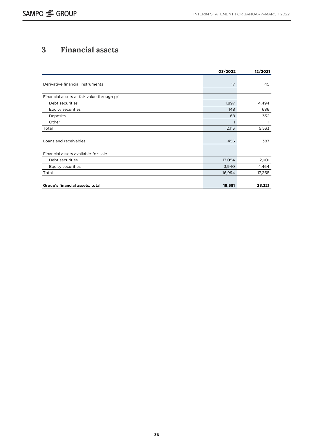## <span id="page-35-0"></span>**3 Financial assets**

|                                            | 03/2022      | 12/2021 |
|--------------------------------------------|--------------|---------|
|                                            |              |         |
| Derivative financial instruments           | 17           | 45      |
|                                            |              |         |
| Financial assets at fair value through p/l |              |         |
| Debt securities                            | 1,897        | 4,494   |
| <b>Equity securities</b>                   | 148          | 686     |
| Deposits                                   | 68           | 352     |
| Other                                      | $\mathbf{1}$ | 1       |
| Total                                      | 2,113        | 5,533   |
|                                            |              |         |
| Loans and receivables                      | 456          | 387     |
|                                            |              |         |
| Financial assets available-for-sale        |              |         |
| Debt securities                            | 13,054       | 12,901  |
| Equity securities                          | 3,940        | 4,464   |
| Total                                      | 16,994       | 17,365  |
|                                            |              |         |
| Group's financial assets, total            | 19,581       | 23,321  |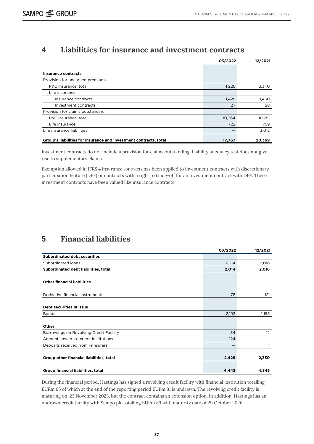## <span id="page-36-0"></span>**4 Liabilities for insurance and investment contracts**

|                                                                   | 03/2022 | 12/2021 |
|-------------------------------------------------------------------|---------|---------|
|                                                                   |         |         |
| <b>Insurance contracts</b>                                        |         |         |
| Provision for unearned premiums                                   |         |         |
| P&C insurance, total                                              | 4,226   | 3,340   |
| Life insurance                                                    |         |         |
| Insurance contracts                                               | 1,428   | 1,460   |
| Investment contracts                                              | 27      | 28      |
| Provision for claims outstanding                                  |         |         |
| P&C insurance, total                                              | 10,364  | 10,781  |
| Life insurance                                                    | 1,722   | 1,759   |
| Life insurance liabilities                                        |         | 3,012   |
| Group's liabilities for insurance and investment contracts, total | 17,767  | 20,369  |

Investment contracts do not include a provision for claims outstanding. Liability adequacy test does not give rise to supplementary claims.

Exemption allowed in IFRS 4 *Insurance contracts* has been applied to investment contracts with discretionary participation feature (DPF) or contracts with a right to trade-off for an investment contract with DPF. These investment contracts have been valued like insurance contracts.

## **5 Financial liabilities**

|                                          | 03/2022 | 12/2021 |
|------------------------------------------|---------|---------|
| <b>Subordinated debt securities</b>      |         |         |
| Subordinated loans                       | 2,014   | 2,016   |
| Subordinated debt liabilities, total     | 2,014   | 2,016   |
| <b>Other financial liabilities</b>       |         |         |
| Derivative financial instruments         | 78      | 121     |
| Debt securities in issue                 |         |         |
| <b>Bonds</b>                             | 2,193   | 2,195   |
| Other                                    |         |         |
| Borrowings on Revolving Credit Facility  | 34      | 12      |
| Amounts owed to credit institutions      | 124     |         |
| Deposits received from reinsurers        |         |         |
| Group other financial liabilities, total | 2,429   | 2,330   |
| Group financial liabilities, total       | 4,443   | 4,345   |

During the financial period, Hastings has signed a revolving credit facility with financial institution totalling EURm 65 of which at the end of the reporting period EURm 31 is undrawn. The revolving credit facility is maturing on 23 November 2023, but the contract contains an extension option. In addition, Hastings has an undrawn credit facility with Sampo plc totalling EURm 89 with maturity date of 29 October 2026.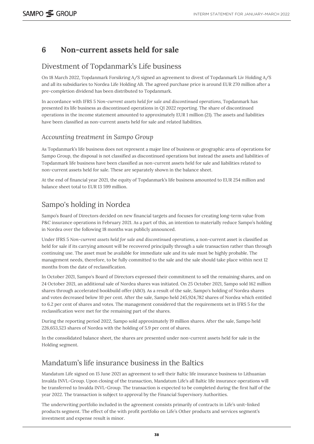## <span id="page-37-0"></span>**6 Non-current assets held for sale**

### Divestment of Topdanmark's Life business

On 18 March 2022, Topdanmark Forsikring A/S signed an agreement to divest of Topdanmark Liv Holding A/S and all its subsidiaries to Nordea Life Holding AB. The agreed purchase price is around EUR 270 million after a pre-completion dividend has been distributed to Topdanmark.

In accordance with IFRS 5 *Non-current assets held for sale and discontinued operations*, Topdanmark has presented its life business as discontinued operations in Q1 2022 reporting. The share of discontinued operations in the income statement amounted to approximately EUR 1 million (21). The assets and liabilities have been classified as non-current assets held for sale and related liabilities.

### *Accounting treatment in Sampo Group*

As Topdanmark's life business does not represent a major line of business or geographic area of operations for Sampo Group, the disposal is not classified as discontinued operations but instead the assets and liabilities of Topdanmark life business have been classified as non-current assets held for sale and liabilities related to non-current assets held for sale. These are separately shown in the balance sheet.

At the end of financial year 2021, the equity of Topdanmark's life business amounted to EUR 254 million and balance sheet total to EUR 13 599 million.

### Sampo's holding in Nordea

Sampo's Board of Directors decided on new financial targets and focuses for creating long-term value from P&C insurance operations in February 2021. As a part of this, an intention to materially reduce Sampo's holding in Nordea over the following 18 months was publicly announced.

Under IFRS 5 *Non-current assets held for sale and discontinued operations*, a non-current asset is classified as held for sale if its carrying amount will be recovered principally through a sale transaction rather than through continuing use. The asset must be available for immediate sale and its sale must be highly probable. The management needs, therefore, to be fully committed to the sale and the sale should take place within next 12 months from the date of reclassification.

In October 2021, Sampo's Board of Directors expressed their commitment to sell the remaining shares, and on 24 October 2021, an additional sale of Nordea shares was initiated. On 25 October 2021, Sampo sold 162 million shares through accelerated bookbuild offer (ABO). As a result of the sale, Sampo's holding of Nordea shares and votes decreased below 10 per cent. After the sale, Sampo held 245,924,782 shares of Nordea which entitled to 6.2 per cent of shares and votes. The management considered that the requirements set in IFRS 5 for the reclassification were met for the remaining part of the shares.

During the reporting period 2022, Sampo sold approximately 19 million shares. After the sale, Sampo held 226,653,523 shares of Nordea with the holding of 5.9 per cent of shares.

In the consolidated balance sheet, the shares are presented under non-current assets held for sale in the Holding segment.

### Mandatum's life insurance business in the Baltics

Mandatum Life signed on 15 June 2021 an agreement to sell their Baltic life insurance business to Lithuanian Invalda INVL-Group. Upon closing of the transaction, Mandatum Life's all Baltic life insurance operations will be transferred to Invalda INVL-Group. The transaction is expected to be completed during the first half of the year 2022. The transaction is subject to approval by the Financial Supervisory Authorities.

The underwriting portfolio included in the agreement consists primarily of contracts in Life's unit-linked products segment. The effect of the with profit portfolio on Life's Other products and services segment's investment and expense result is minor.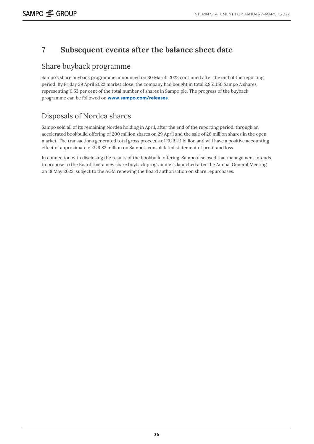## <span id="page-38-0"></span>**7 Subsequent events after the balance sheet date**

### Share buyback programme

Sampo's share buyback programme announced on 30 March 2022 continued after the end of the reporting period. By Friday 29 April 2022 market close, the company had bought in total 2,851,150 Sampo A shares representing 0.53 per cent of the total number of shares in Sampo plc. The progress of the buyback programme can be followed on **[www.sampo.com/releases](http://www.sampo.com/releases)**.

## Disposals of Nordea shares

Sampo sold all of its remaining Nordea holding in April, after the end of the reporting period, through an accelerated bookbuild offering of 200 million shares on 29 April and the sale of 26 million shares in the open market. The transactions generated total gross proceeds of EUR 2.1 billion and will have a positive accounting effect of approximately EUR 82 million on Sampo's consolidated statement of profit and loss.

In connection with disclosing the results of the bookbuild offering, Sampo disclosed that management intends to propose to the Board that a new share buyback programme is launched after the Annual General Meeting on 18 May 2022, subject to the AGM renewing the Board authorisation on share repurchases.